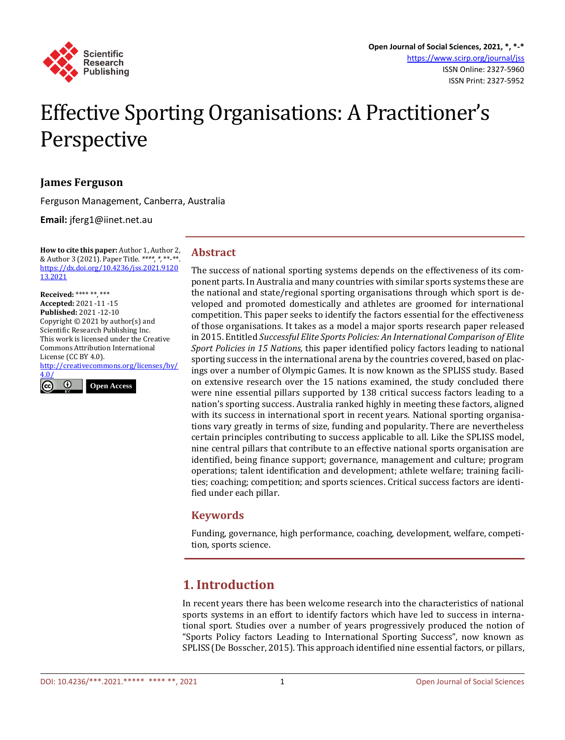

# Effective Sporting Organisations: A Practitioner's Perspective

## **James Ferguson**

Ferguson Management, Canberra, Australia

**Email:** jferg1@iinet.net.au

**How to cite this paper:** Author 1, Author 2, & Author 3 (2021). Paper Title. *\*\*\*\*, \*,* \*\*-\*\*. [https://dx.doi.org/10.4236/jss.2021.9120](https://dx.doi.org/10.4236/jss.2021.912013.2021) [13.2021](https://dx.doi.org/10.4236/jss.2021.912013.2021)

**Received:** \*\*\*\* \*\*, \*\*\* **Accepted:** 2021 -11 -15 **Published:** 2021 -12-10 Copyright © 2021 by author(s) and Scientific Research Publishing Inc. This work is licensed under the Creative Commons Attribution International License (CC BY 4.0).

[http://creativecommons.org/licenses/by/](http://creativecommons.org/licenses/by/4.0/) [4.0/](http://creativecommons.org/licenses/by/4.0/)



## **Abstract**

The success of national sporting systems depends on the effectiveness of its component parts. In Australia and many countries with similar sports systems these are the national and state/regional sporting organisations through which sport is developed and promoted domestically and athletes are groomed for international competition. This paper seeks to identify the factors essential for the effectiveness of those organisations. It takes as a model a major sports research paper released in 2015. Entitled *Successful Elite Sports Policies: An International Comparison of Elite Sport Policies in 15 Nations,* this paper identified policy factors leading to national sporting success in the international arena by the countries covered, based on placings over a number of Olympic Games. It is now known as the SPLISS study. Based on extensive research over the 15 nations examined, the study concluded there were nine essential pillars supported by 138 critical success factors leading to a nation's sporting success. Australia ranked highly in meeting these factors, aligned with its success in international sport in recent years. National sporting organisations vary greatly in terms of size, funding and popularity. There are nevertheless certain principles contributing to success applicable to all. Like the SPLISS model, nine central pillars that contribute to an effective national sports organisation are identified, being finance support; governance, management and culture; program operations; talent identification and development; athlete welfare; training facilities; coaching; competition; and sports sciences. Critical success factors are identified under each pillar.

## **Keywords**

Funding, governance, high performance, coaching, development, welfare, competition, sports science.

# **1. Introduction**

In recent years there has been welcome research into the characteristics of national sports systems in an effort to identify factors which have led to success in international sport. Studies over a number of years progressively produced the notion of "Sports Policy factors Leading to International Sporting Success", now known as SPLISS(De Bosscher, 2015). This approach identified nine essential factors, or pillars,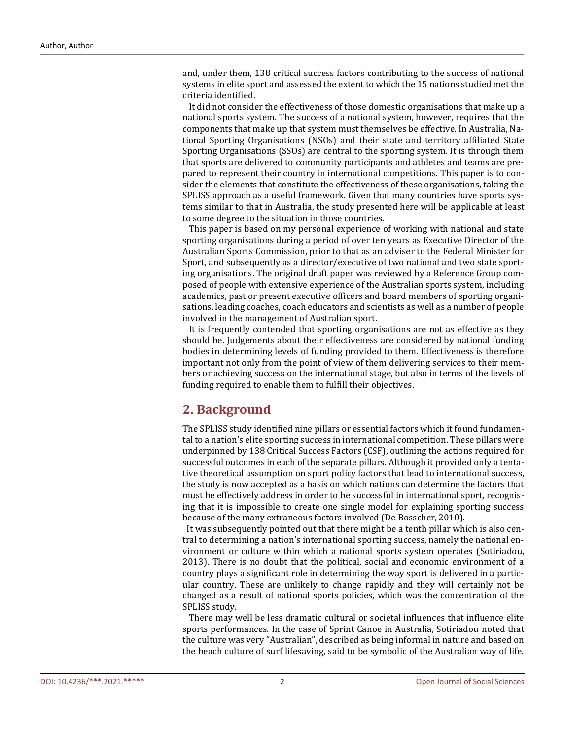and, under them, 138 critical success factors contributing to the success of national systems in elite sport and assessed the extent to which the 15 nations studied met the criteria identified.

 It did not consider the effectiveness of those domestic organisations that make up a national sports system. The success of a national system, however, requires that the components that make up that system must themselves be effective. In Australia, National Sporting Organisations (NSOs) and their state and territory affiliated State Sporting Organisations (SSOs) are central to the sporting system. It is through them that sports are delivered to community participants and athletes and teams are prepared to represent their country in international competitions. This paper is to consider the elements that constitute the effectiveness of these organisations, taking the SPLISS approach as a useful framework. Given that many countries have sports systems similar to that in Australia, the study presented here will be applicable at least to some degree to the situation in those countries.

This paper is based on my personal experience of working with national and state sporting organisations during a period of over ten years as Executive Director of the Australian Sports Commission, prior to that as an adviser to the Federal Minister for Sport, and subsequently as a director/executive of two national and two state sporting organisations. The original draft paper was reviewed by a Reference Group composed of people with extensive experience of the Australian sports system, including academics, past or present executive officers and board members of sporting organisations, leading coaches, coach educators and scientists as well as a number of people involved in the management of Australian sport.

 It is frequently contended that sporting organisations are not as effective as they should be. Judgements about their effectiveness are considered by national funding bodies in determining levels of funding provided to them. Effectiveness is therefore important not only from the point of view of them delivering services to their members or achieving success on the international stage, but also in terms of the levels of funding required to enable them to fulfill their objectives.

# **2. Background**

The SPLISS study identified nine pillars or essential factors which it found fundamental to a nation's elite sporting success in international competition. These pillars were underpinned by 138 Critical Success Factors (CSF), outlining the actions required for successful outcomes in each of the separate pillars. Although it provided only a tentative theoretical assumption on sport policy factors that lead to international success, the study is now accepted as a basis on which nations can determine the factors that must be effectively address in order to be successful in international sport, recognising that it is impossible to create one single model for explaining sporting success because of the many extraneous factors involved (De Bosscher, 2010).

 It was subsequently pointed out that there might be a tenth pillar which is also central to determining a nation's international sporting success, namely the national environment or culture within which a national sports system operates (Sotiriadou, 2013). There is no doubt that the political, social and economic environment of a country plays a significant role in determining the way sport is delivered in a particular country. These are unlikely to change rapidly and they will certainly not be changed as a result of national sports policies, which was the concentration of the SPLISS study.

 There may well be less dramatic cultural or societal influences that influence elite sports performances. In the case of Sprint Canoe in Australia, Sotiriadou noted that the culture was very "Australian", described as being informal in nature and based on the beach culture of surf lifesaving, said to be symbolic of the Australian way of life.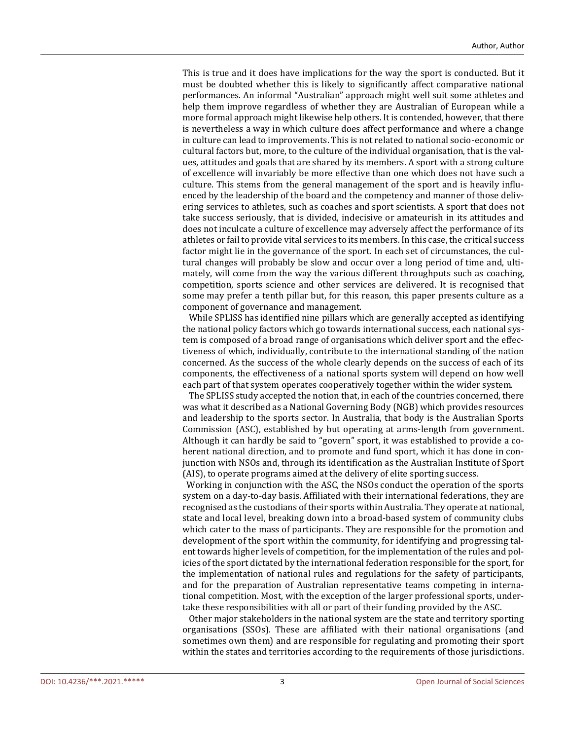This is true and it does have implications for the way the sport is conducted. But it must be doubted whether this is likely to significantly affect comparative national performances. An informal "Australian" approach might well suit some athletes and help them improve regardless of whether they are Australian of European while a more formal approach might likewise help others. It is contended, however, that there is nevertheless a way in which culture does affect performance and where a change in culture can lead to improvements. This is not related to national socio-economic or cultural factors but, more, to the culture of the individual organisation, that is the values, attitudes and goals that are shared by its members. A sport with a strong culture of excellence will invariably be more effective than one which does not have such a culture. This stems from the general management of the sport and is heavily influenced by the leadership of the board and the competency and manner of those delivering services to athletes, such as coaches and sport scientists. A sport that does not take success seriously, that is divided, indecisive or amateurish in its attitudes and does not inculcate a culture of excellence may adversely affect the performance of its athletes or fail to provide vital services to its members. In this case, the critical success factor might lie in the governance of the sport. In each set of circumstances, the cultural changes will probably be slow and occur over a long period of time and, ultimately, will come from the way the various different throughputs such as coaching, competition, sports science and other services are delivered. It is recognised that some may prefer a tenth pillar but, for this reason, this paper presents culture as a component of governance and management.

While SPLISS has identified nine pillars which are generally accepted as identifying the national policy factors which go towards international success, each national system is composed of a broad range of organisations which deliver sport and the effectiveness of which, individually, contribute to the international standing of the nation concerned. As the success of the whole clearly depends on the success of each of its components, the effectiveness of a national sports system will depend on how well each part of that system operates cooperatively together within the wider system.

 The SPLISS study accepted the notion that, in each of the countries concerned, there was what it described as a National Governing Body (NGB) which provides resources and leadership to the sports sector. In Australia, that body is the Australian Sports Commission (ASC), established by but operating at arms-length from government. Although it can hardly be said to "govern" sport, it was established to provide a coherent national direction, and to promote and fund sport, which it has done in conjunction with NSOs and, through its identification as the Australian Institute of Sport (AIS), to operate programs aimed at the delivery of elite sporting success.

 Working in conjunction with the ASC, the NSOs conduct the operation of the sports system on a day-to-day basis. Affiliated with their international federations, they are recognised as the custodians of their sports within Australia. They operate at national, state and local level, breaking down into a broad-based system of community clubs which cater to the mass of participants. They are responsible for the promotion and development of the sport within the community, for identifying and progressing talent towards higher levels of competition, for the implementation of the rules and policies of the sport dictated by the international federation responsible for the sport, for the implementation of national rules and regulations for the safety of participants, and for the preparation of Australian representative teams competing in international competition. Most, with the exception of the larger professional sports, undertake these responsibilities with all or part of their funding provided by the ASC.

 Other major stakeholders in the national system are the state and territory sporting organisations (SSOs). These are affiliated with their national organisations (and sometimes own them) and are responsible for regulating and promoting their sport within the states and territories according to the requirements of those jurisdictions.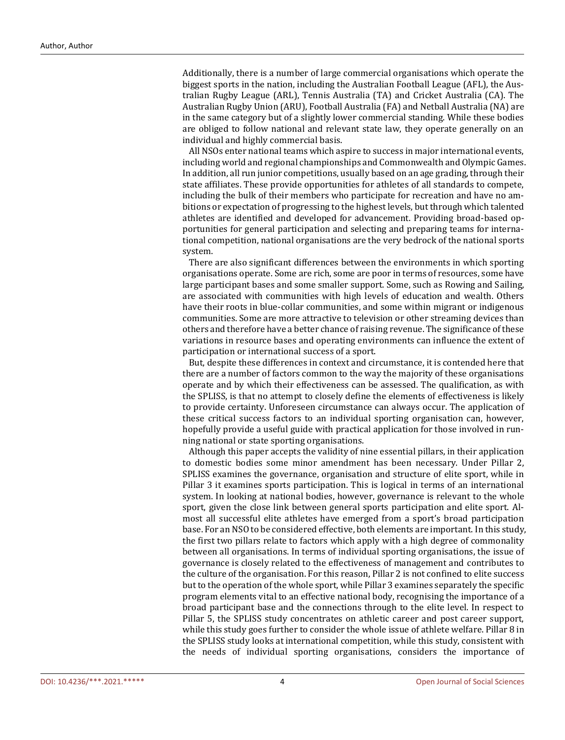Additionally, there is a number of large commercial organisations which operate the biggest sports in the nation, including the Australian Football League (AFL), the Australian Rugby League (ARL), Tennis Australia (TA) and Cricket Australia (CA). The Australian Rugby Union (ARU), Football Australia (FA) and Netball Australia (NA) are in the same category but of a slightly lower commercial standing. While these bodies are obliged to follow national and relevant state law, they operate generally on an individual and highly commercial basis.

 All NSOs enter national teams which aspire to success in major international events, including world and regional championships and Commonwealth and Olympic Games. In addition, all run junior competitions, usually based on an age grading, through their state affiliates. These provide opportunities for athletes of all standards to compete, including the bulk of their members who participate for recreation and have no ambitions or expectation of progressing to the highest levels, but through which talented athletes are identified and developed for advancement. Providing broad-based opportunities for general participation and selecting and preparing teams for international competition, national organisations are the very bedrock of the national sports system.

 There are also significant differences between the environments in which sporting organisations operate. Some are rich, some are poor in terms of resources, some have large participant bases and some smaller support. Some, such as Rowing and Sailing, are associated with communities with high levels of education and wealth. Others have their roots in blue-collar communities, and some within migrant or indigenous communities. Some are more attractive to television or other streaming devices than others and therefore have a better chance of raising revenue. The significance of these variations in resource bases and operating environments can influence the extent of participation or international success of a sport.

 But, despite these differences in context and circumstance, it is contended here that there are a number of factors common to the way the majority of these organisations operate and by which their effectiveness can be assessed. The qualification, as with the SPLISS, is that no attempt to closely define the elements of effectiveness is likely to provide certainty. Unforeseen circumstance can always occur. The application of these critical success factors to an individual sporting organisation can, however, hopefully provide a useful guide with practical application for those involved in running national or state sporting organisations.

 Although this paper accepts the validity of nine essential pillars, in their application to domestic bodies some minor amendment has been necessary. Under Pillar 2, SPLISS examines the governance, organisation and structure of elite sport, while in Pillar 3 it examines sports participation. This is logical in terms of an international system. In looking at national bodies, however, governance is relevant to the whole sport, given the close link between general sports participation and elite sport. Almost all successful elite athletes have emerged from a sport's broad participation base. For an NSO to be considered effective, both elements are important. In this study, the first two pillars relate to factors which apply with a high degree of commonality between all organisations. In terms of individual sporting organisations, the issue of governance is closely related to the effectiveness of management and contributes to the culture of the organisation. For this reason, Pillar 2 is not confined to elite success but to the operation of the whole sport, while Pillar 3 examines separately the specific program elements vital to an effective national body, recognising the importance of a broad participant base and the connections through to the elite level. In respect to Pillar 5, the SPLISS study concentrates on athletic career and post career support, while this study goes further to consider the whole issue of athlete welfare. Pillar 8 in the SPLISS study looks at international competition, while this study, consistent with the needs of individual sporting organisations, considers the importance of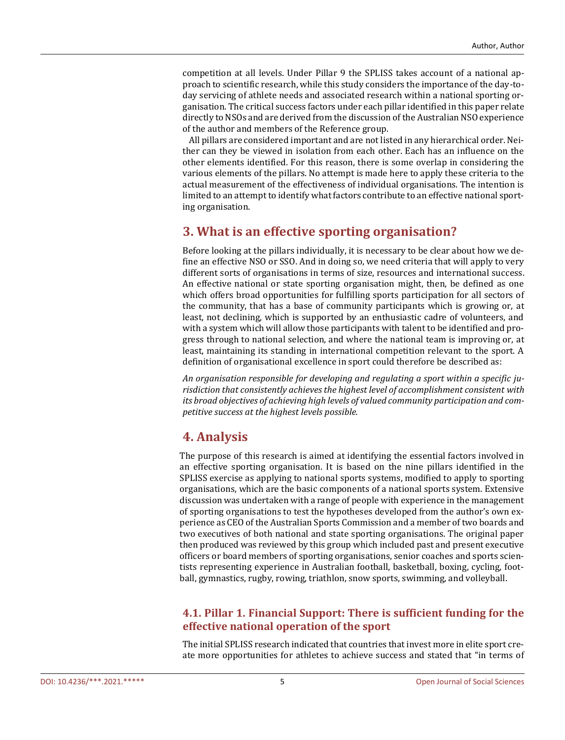competition at all levels. Under Pillar 9 the SPLISS takes account of a national approach to scientific research, while this study considers the importance of the day-today servicing of athlete needs and associated research within a national sporting organisation. The critical success factors under each pillar identified in this paper relate directly to NSOs and are derived from the discussion of the Australian NSO experience of the author and members of the Reference group.

 All pillars are considered important and are not listed in any hierarchical order. Neither can they be viewed in isolation from each other. Each has an influence on the other elements identified. For this reason, there is some overlap in considering the various elements of the pillars. No attempt is made here to apply these criteria to the actual measurement of the effectiveness of individual organisations. The intention is limited to an attempt to identify what factors contribute to an effective national sporting organisation.

# **3. What is an effective sporting organisation?**

Before looking at the pillars individually, it is necessary to be clear about how we define an effective NSO or SSO. And in doing so, we need criteria that will apply to very different sorts of organisations in terms of size, resources and international success. An effective national or state sporting organisation might, then, be defined as one which offers broad opportunities for fulfilling sports participation for all sectors of the community, that has a base of community participants which is growing or, at least, not declining, which is supported by an enthusiastic cadre of volunteers, and with a system which will allow those participants with talent to be identified and progress through to national selection, and where the national team is improving or, at least, maintaining its standing in international competition relevant to the sport. A definition of organisational excellence in sport could therefore be described as:

*An organisation responsible for developing and regulating a sport within a specific jurisdiction that consistently achieves the highest level of accomplishment consistent with its broad objectives of achieving high levels of valued community participation and competitive success at the highest levels possible.*

# **4. Analysis**

The purpose of this research is aimed at identifying the essential factors involved in an effective sporting organisation. It is based on the nine pillars identified in the SPLISS exercise as applying to national sports systems, modified to apply to sporting organisations, which are the basic components of a national sports system. Extensive discussion was undertaken with a range of people with experience in the management of sporting organisations to test the hypotheses developed from the author's own experience as CEO of the Australian Sports Commission and a member of two boards and two executives of both national and state sporting organisations. The original paper then produced was reviewed by this group which included past and present executive officers or board members of sporting organisations, senior coaches and sports scientists representing experience in Australian football, basketball, boxing, cycling, football, gymnastics, rugby, rowing, triathlon, snow sports, swimming, and volleyball.

## **4.1. Pillar 1. Financial Support: There is sufficient funding for the effective national operation of the sport**

The initial SPLISS research indicated that countries that invest more in elite sport create more opportunities for athletes to achieve success and stated that "in terms of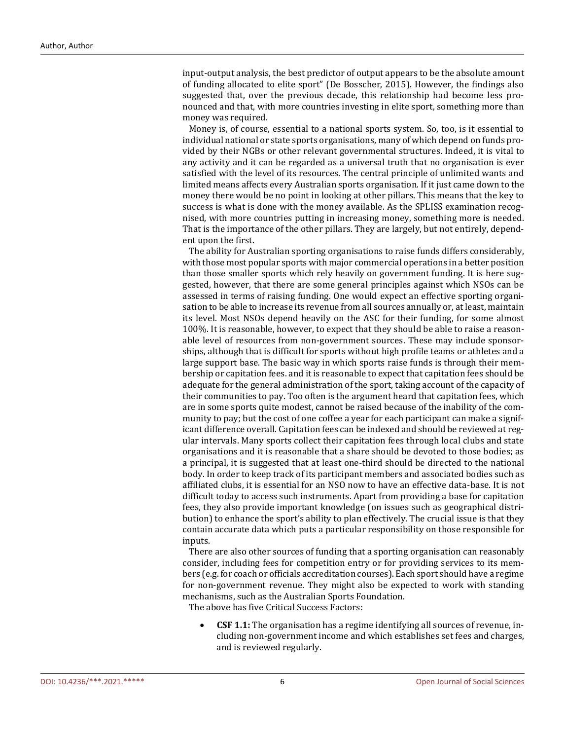input-output analysis, the best predictor of output appears to be the absolute amount of funding allocated to elite sport" (De Bosscher, 2015). However, the findings also suggested that, over the previous decade, this relationship had become less pronounced and that, with more countries investing in elite sport, something more than money was required.

 Money is, of course, essential to a national sports system. So, too, is it essential to individual national or state sports organisations, many of which depend on funds provided by their NGBs or other relevant governmental structures. Indeed, it is vital to any activity and it can be regarded as a universal truth that no organisation is ever satisfied with the level of its resources. The central principle of unlimited wants and limited means affects every Australian sports organisation. If it just came down to the money there would be no point in looking at other pillars. This means that the key to success is what is done with the money available. As the SPLISS examination recognised, with more countries putting in increasing money, something more is needed. That is the importance of the other pillars. They are largely, but not entirely, dependent upon the first.

 The ability for Australian sporting organisations to raise funds differs considerably, with those most popular sports with major commercial operations in a better position than those smaller sports which rely heavily on government funding. It is here suggested, however, that there are some general principles against which NSOs can be assessed in terms of raising funding. One would expect an effective sporting organisation to be able to increase its revenue from all sources annually or, at least, maintain its level. Most NSOs depend heavily on the ASC for their funding, for some almost 100%. It is reasonable, however, to expect that they should be able to raise a reasonable level of resources from non-government sources. These may include sponsorships, although that is difficult for sports without high profile teams or athletes and a large support base. The basic way in which sports raise funds is through their membership or capitation fees. and it is reasonable to expect that capitation fees should be adequate for the general administration of the sport, taking account of the capacity of their communities to pay. Too often is the argument heard that capitation fees, which are in some sports quite modest, cannot be raised because of the inability of the community to pay; but the cost of one coffee a year for each participant can make a significant difference overall. Capitation fees can be indexed and should be reviewed at regular intervals. Many sports collect their capitation fees through local clubs and state organisations and it is reasonable that a share should be devoted to those bodies; as a principal, it is suggested that at least one-third should be directed to the national body. In order to keep track of its participant members and associated bodies such as affiliated clubs, it is essential for an NSO now to have an effective data-base. It is not difficult today to access such instruments. Apart from providing a base for capitation fees, they also provide important knowledge (on issues such as geographical distribution) to enhance the sport's ability to plan effectively. The crucial issue is that they contain accurate data which puts a particular responsibility on those responsible for inputs.

 There are also other sources of funding that a sporting organisation can reasonably consider, including fees for competition entry or for providing services to its members (e.g. for coach or officials accreditation courses). Each sport should have a regime for non-government revenue. They might also be expected to work with standing mechanisms, such as the Australian Sports Foundation.

The above has five Critical Success Factors:

• **CSF 1.1:** The organisation has a regime identifying all sources of revenue, including non-government income and which establishes set fees and charges, and is reviewed regularly.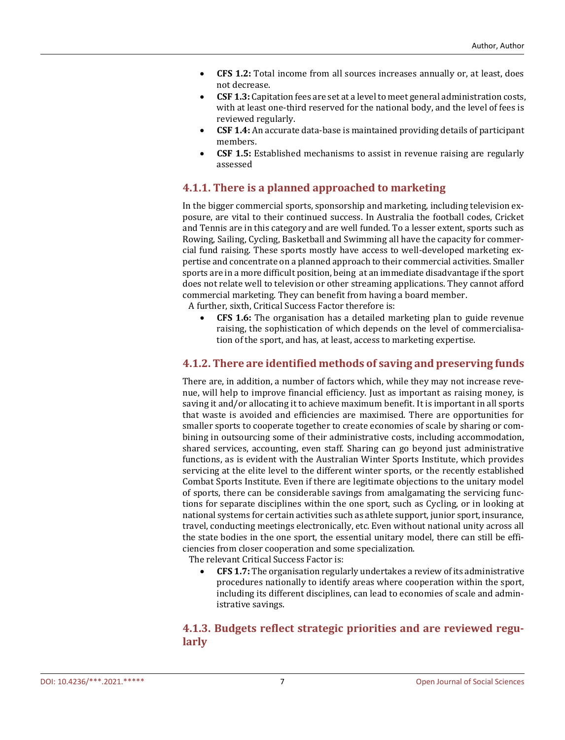- **CFS 1.2:** Total income from all sources increases annually or, at least, does not decrease.
- **CSF 1.3:** Capitation fees are set at a level to meet general administration costs, with at least one-third reserved for the national body, and the level of fees is reviewed regularly.
- **CSF 1.4:** An accurate data-base is maintained providing details of participant members.
- **CSF 1.5:** Established mechanisms to assist in revenue raising are regularly assessed

## **4.1.1. There is a planned approached to marketing**

In the bigger commercial sports, sponsorship and marketing, including television exposure, are vital to their continued success. In Australia the football codes, Cricket and Tennis are in this category and are well funded. To a lesser extent, sports such as Rowing, Sailing, Cycling, Basketball and Swimming all have the capacity for commercial fund raising. These sports mostly have access to well-developed marketing expertise and concentrate on a planned approach to their commercial activities. Smaller sports are in a more difficult position, being at an immediate disadvantage if the sport does not relate well to television or other streaming applications. They cannot afford commercial marketing. They can benefit from having a board member.

A further, sixth, Critical Success Factor therefore is:

• **CFS 1.6:** The organisation has a detailed marketing plan to guide revenue raising, the sophistication of which depends on the level of commercialisation of the sport, and has, at least, access to marketing expertise.

#### **4.1.2. There are identified methods of saving and preserving funds**

There are, in addition, a number of factors which, while they may not increase revenue, will help to improve financial efficiency. Just as important as raising money, is saving it and/or allocating it to achieve maximum benefit. It is important in all sports that waste is avoided and efficiencies are maximised. There are opportunities for smaller sports to cooperate together to create economies of scale by sharing or combining in outsourcing some of their administrative costs, including accommodation, shared services, accounting, even staff. Sharing can go beyond just administrative functions, as is evident with the Australian Winter Sports Institute, which provides servicing at the elite level to the different winter sports, or the recently established Combat Sports Institute. Even if there are legitimate objections to the unitary model of sports, there can be considerable savings from amalgamating the servicing functions for separate disciplines within the one sport, such as Cycling, or in looking at national systems for certain activities such as athlete support, junior sport, insurance, travel, conducting meetings electronically, etc. Even without national unity across all the state bodies in the one sport, the essential unitary model, there can still be efficiencies from closer cooperation and some specialization.

The relevant Critical Success Factor is:

• **CFS 1.7:** The organisation regularly undertakes a review of its administrative procedures nationally to identify areas where cooperation within the sport, including its different disciplines, can lead to economies of scale and administrative savings.

## **4.1.3. Budgets reflect strategic priorities and are reviewed regularly**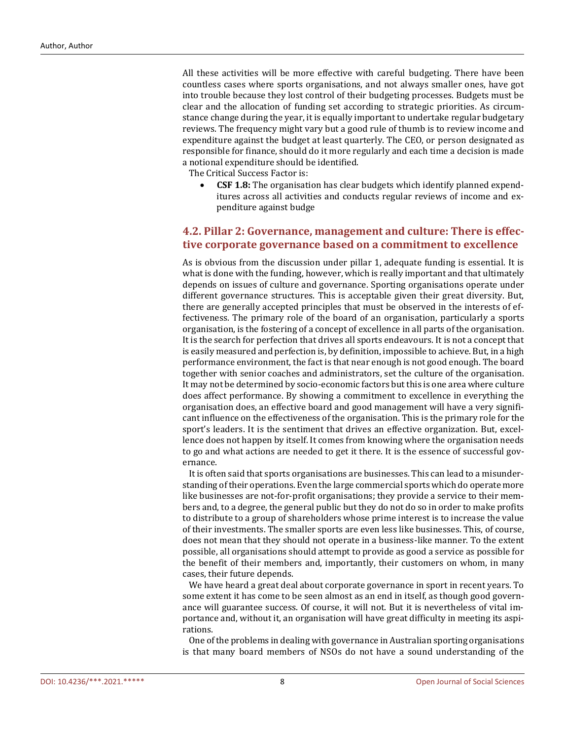All these activities will be more effective with careful budgeting. There have been countless cases where sports organisations, and not always smaller ones, have got into trouble because they lost control of their budgeting processes. Budgets must be clear and the allocation of funding set according to strategic priorities. As circumstance change during the year, it is equally important to undertake regular budgetary reviews. The frequency might vary but a good rule of thumb is to review income and expenditure against the budget at least quarterly. The CEO, or person designated as responsible for finance, should do it more regularly and each time a decision is made a notional expenditure should be identified.

The Critical Success Factor is:

• **CSF 1.8:** The organisation has clear budgets which identify planned expenditures across all activities and conducts regular reviews of income and expenditure against budge

## **4.2. Pillar 2: Governance, management and culture: There is effective corporate governance based on a commitment to excellence**

As is obvious from the discussion under pillar 1, adequate funding is essential. It is what is done with the funding, however, which is really important and that ultimately depends on issues of culture and governance. Sporting organisations operate under different governance structures. This is acceptable given their great diversity. But, there are generally accepted principles that must be observed in the interests of effectiveness. The primary role of the board of an organisation, particularly a sports organisation, is the fostering of a concept of excellence in all parts of the organisation. It is the search for perfection that drives all sports endeavours. It is not a concept that is easily measured and perfection is, by definition, impossible to achieve. But, in a high performance environment, the fact is that near enough is not good enough. The board together with senior coaches and administrators, set the culture of the organisation. It may not be determined by socio-economic factors but this is one area where culture does affect performance. By showing a commitment to excellence in everything the organisation does, an effective board and good management will have a very significant influence on the effectiveness of the organisation. This is the primary role for the sport's leaders. It is the sentiment that drives an effective organization. But, excellence does not happen by itself. It comes from knowing where the organisation needs to go and what actions are needed to get it there. It is the essence of successful governance.

 It is often said that sports organisations are businesses. This can lead to a misunderstanding of their operations. Even the large commercial sports which do operate more like businesses are not-for-profit organisations; they provide a service to their members and, to a degree, the general public but they do not do so in order to make profits to distribute to a group of shareholders whose prime interest is to increase the value of their investments. The smaller sports are even less like businesses. This, of course, does not mean that they should not operate in a business-like manner. To the extent possible, all organisations should attempt to provide as good a service as possible for the benefit of their members and, importantly, their customers on whom, in many cases, their future depends.

 We have heard a great deal about corporate governance in sport in recent years. To some extent it has come to be seen almost as an end in itself, as though good governance will guarantee success. Of course, it will not. But it is nevertheless of vital importance and, without it, an organisation will have great difficulty in meeting its aspirations.

 One of the problems in dealing with governance in Australian sporting organisations is that many board members of NSOs do not have a sound understanding of the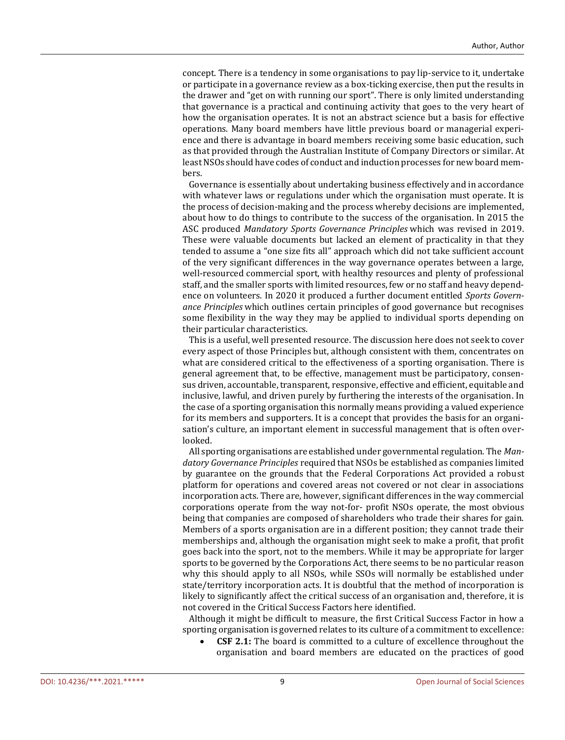concept. There is a tendency in some organisations to pay lip-service to it, undertake or participate in a governance review as a box-ticking exercise, then put the results in the drawer and "get on with running our sport". There is only limited understanding that governance is a practical and continuing activity that goes to the very heart of how the organisation operates. It is not an abstract science but a basis for effective operations. Many board members have little previous board or managerial experience and there is advantage in board members receiving some basic education, such as that provided through the Australian Institute of Company Directors or similar. At least NSOs should have codes of conduct and induction processes for new board members.

 Governance is essentially about undertaking business effectively and in accordance with whatever laws or regulations under which the organisation must operate. It is the process of decision-making and the process whereby decisions are implemented, about how to do things to contribute to the success of the organisation. In 2015 the ASC produced *Mandatory Sports Governance Principles* which was revised in 2019. These were valuable documents but lacked an element of practicality in that they tended to assume a "one size fits all" approach which did not take sufficient account of the very significant differences in the way governance operates between a large, well-resourced commercial sport, with healthy resources and plenty of professional staff, and the smaller sports with limited resources, few or no staff and heavy dependence on volunteers. In 2020 it produced a further document entitled *Sports Governance Principles* which outlines certain principles of good governance but recognises some flexibility in the way they may be applied to individual sports depending on their particular characteristics.

 This is a useful, well presented resource. The discussion here does not seek to cover every aspect of those Principles but, although consistent with them, concentrates on what are considered critical to the effectiveness of a sporting organisation. There is general agreement that, to be effective, management must be participatory, consensus driven, accountable, transparent, responsive, effective and efficient, equitable and inclusive, lawful, and driven purely by furthering the interests of the organisation. In the case of a sporting organisation this normally means providing a valued experience for its members and supporters. It is a concept that provides the basis for an organisation's culture, an important element in successful management that is often overlooked.

 All sporting organisations are established under governmental regulation. The *Mandatory Governance Principles* required that NSOs be established as companies limited by guarantee on the grounds that the Federal Corporations Act provided a robust platform for operations and covered areas not covered or not clear in associations incorporation acts. There are, however, significant differences in the way commercial corporations operate from the way not-for- profit NSOs operate, the most obvious being that companies are composed of shareholders who trade their shares for gain. Members of a sports organisation are in a different position; they cannot trade their memberships and, although the organisation might seek to make a profit, that profit goes back into the sport, not to the members. While it may be appropriate for larger sports to be governed by the Corporations Act, there seems to be no particular reason why this should apply to all NSOs, while SSOs will normally be established under state/territory incorporation acts. It is doubtful that the method of incorporation is likely to significantly affect the critical success of an organisation and, therefore, it is not covered in the Critical Success Factors here identified.

 Although it might be difficult to measure, the first Critical Success Factor in how a sporting organisation is governed relates to its culture of a commitment to excellence:

• **CSF 2.1:** The board is committed to a culture of excellence throughout the organisation and board members are educated on the practices of good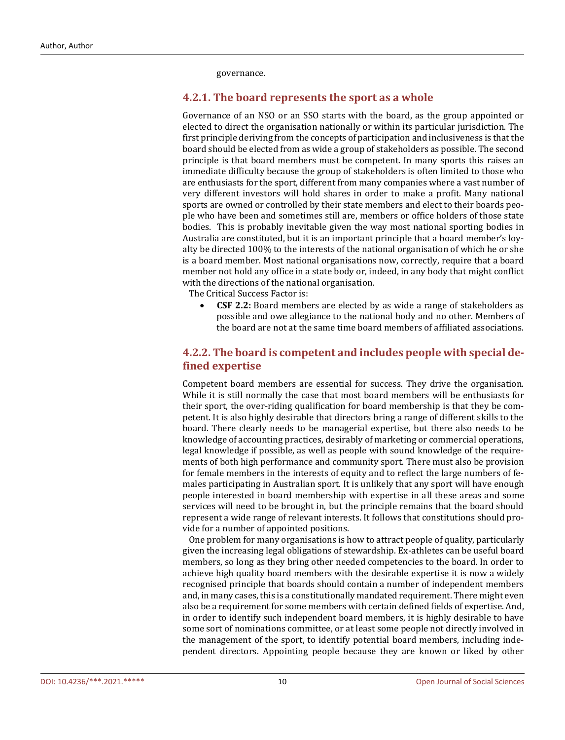governance.

#### **4.2.1. The board represents the sport as a whole**

Governance of an NSO or an SSO starts with the board, as the group appointed or elected to direct the organisation nationally or within its particular jurisdiction. The first principle deriving from the concepts of participation and inclusiveness is that the board should be elected from as wide a group of stakeholders as possible. The second principle is that board members must be competent. In many sports this raises an immediate difficulty because the group of stakeholders is often limited to those who are enthusiasts for the sport, different from many companies where a vast number of very different investors will hold shares in order to make a profit. Many national sports are owned or controlled by their state members and elect to their boards people who have been and sometimes still are, members or office holders of those state bodies. This is probably inevitable given the way most national sporting bodies in Australia are constituted, but it is an important principle that a board member's loyalty be directed 100% to the interests of the national organisation of which he or she is a board member. Most national organisations now, correctly, require that a board member not hold any office in a state body or, indeed, in any body that might conflict with the directions of the national organisation.

The Critical Success Factor is:

• **CSF 2.2:** Board members are elected by as wide a range of stakeholders as possible and owe allegiance to the national body and no other. Members of the board are not at the same time board members of affiliated associations.

## **4.2.2. The board is competent and includes people with special defined expertise**

Competent board members are essential for success. They drive the organisation. While it is still normally the case that most board members will be enthusiasts for their sport, the over-riding qualification for board membership is that they be competent. It is also highly desirable that directors bring a range of different skills to the board. There clearly needs to be managerial expertise, but there also needs to be knowledge of accounting practices, desirably of marketing or commercial operations, legal knowledge if possible, as well as people with sound knowledge of the requirements of both high performance and community sport. There must also be provision for female members in the interests of equity and to reflect the large numbers of females participating in Australian sport. It is unlikely that any sport will have enough people interested in board membership with expertise in all these areas and some services will need to be brought in, but the principle remains that the board should represent a wide range of relevant interests. It follows that constitutions should provide for a number of appointed positions.

 One problem for many organisations is how to attract people of quality, particularly given the increasing legal obligations of stewardship. Ex-athletes can be useful board members, so long as they bring other needed competencies to the board. In order to achieve high quality board members with the desirable expertise it is now a widely recognised principle that boards should contain a number of independent members and, in many cases, this is a constitutionally mandated requirement. There might even also be a requirement for some members with certain defined fields of expertise. And, in order to identify such independent board members, it is highly desirable to have some sort of nominations committee, or at least some people not directly involved in the management of the sport, to identify potential board members, including independent directors. Appointing people because they are known or liked by other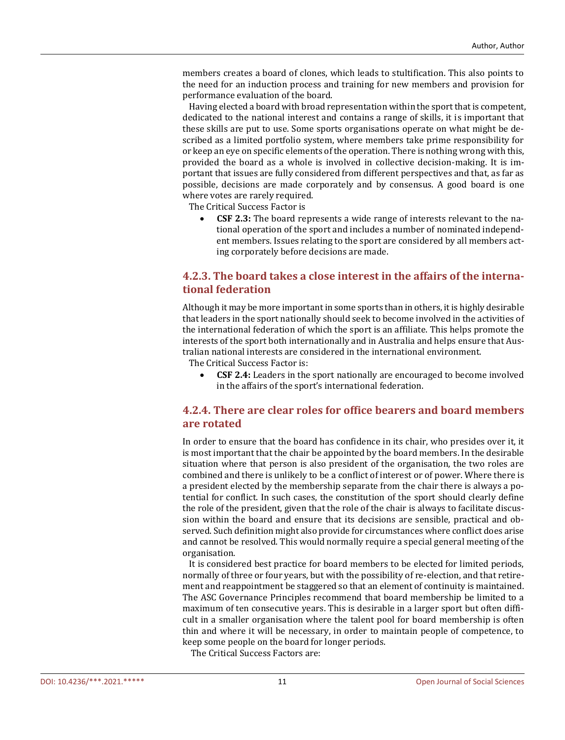members creates a board of clones, which leads to stultification. This also points to the need for an induction process and training for new members and provision for performance evaluation of the board.

 Having elected a board with broad representation within the sport that is competent, dedicated to the national interest and contains a range of skills, it is important that these skills are put to use. Some sports organisations operate on what might be described as a limited portfolio system, where members take prime responsibility for or keep an eye on specific elements of the operation. There is nothing wrong with this, provided the board as a whole is involved in collective decision-making. It is important that issues are fully considered from different perspectives and that, as far as possible, decisions are made corporately and by consensus. A good board is one where votes are rarely required.

The Critical Success Factor is

• **CSF 2.3:** The board represents a wide range of interests relevant to the national operation of the sport and includes a number of nominated independent members. Issues relating to the sport are considered by all members acting corporately before decisions are made.

## **4.2.3. The board takes a close interest in the affairs of the international federation**

Although it may be more important in some sports than in others, it is highly desirable that leaders in the sport nationally should seek to become involved in the activities of the international federation of which the sport is an affiliate. This helps promote the interests of the sport both internationally and in Australia and helps ensure that Australian national interests are considered in the international environment.

The Critical Success Factor is:

• **CSF 2.4:** Leaders in the sport nationally are encouraged to become involved in the affairs of the sport's international federation.

## **4.2.4. There are clear roles for office bearers and board members are rotated**

In order to ensure that the board has confidence in its chair, who presides over it, it is most important that the chair be appointed by the board members. In the desirable situation where that person is also president of the organisation, the two roles are combined and there is unlikely to be a conflict of interest or of power. Where there is a president elected by the membership separate from the chair there is always a potential for conflict. In such cases, the constitution of the sport should clearly define the role of the president, given that the role of the chair is always to facilitate discussion within the board and ensure that its decisions are sensible, practical and observed. Such definition might also provide for circumstances where conflict does arise and cannot be resolved. This would normally require a special general meeting of the organisation.

 It is considered best practice for board members to be elected for limited periods, normally of three or four years, but with the possibility of re-election, and that retirement and reappointment be staggered so that an element of continuity is maintained. The ASC Governance Principles recommend that board membership be limited to a maximum of ten consecutive years. This is desirable in a larger sport but often difficult in a smaller organisation where the talent pool for board membership is often thin and where it will be necessary, in order to maintain people of competence, to keep some people on the board for longer periods.

The Critical Success Factors are: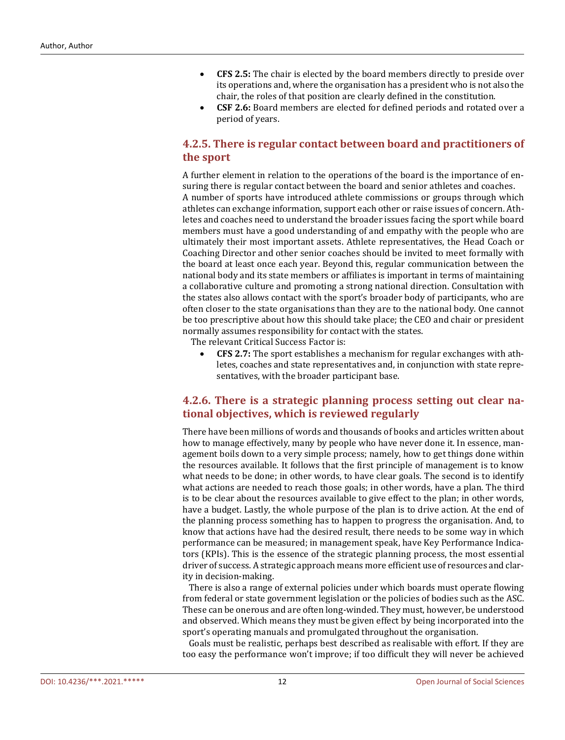- **CFS 2.5:** The chair is elected by the board members directly to preside over its operations and, where the organisation has a president who is not also the chair, the roles of that position are clearly defined in the constitution.
- **CSF 2.6:** Board members are elected for defined periods and rotated over a period of years.

## **4.2.5. There is regular contact between board and practitioners of the sport**

A further element in relation to the operations of the board is the importance of ensuring there is regular contact between the board and senior athletes and coaches. A number of sports have introduced athlete commissions or groups through which athletes can exchange information, support each other or raise issues of concern. Athletes and coaches need to understand the broader issues facing the sport while board members must have a good understanding of and empathy with the people who are ultimately their most important assets. Athlete representatives, the Head Coach or Coaching Director and other senior coaches should be invited to meet formally with the board at least once each year. Beyond this, regular communication between the national body and its state members or affiliates is important in terms of maintaining a collaborative culture and promoting a strong national direction. Consultation with the states also allows contact with the sport's broader body of participants, who are often closer to the state organisations than they are to the national body. One cannot be too prescriptive about how this should take place; the CEO and chair or president normally assumes responsibility for contact with the states.

The relevant Critical Success Factor is:

• **CFS 2.7:** The sport establishes a mechanism for regular exchanges with athletes, coaches and state representatives and, in conjunction with state representatives, with the broader participant base.

## **4.2.6. There is a strategic planning process setting out clear national objectives, which is reviewed regularly**

There have been millions of words and thousands of books and articles written about how to manage effectively, many by people who have never done it. In essence, management boils down to a very simple process; namely, how to get things done within the resources available. It follows that the first principle of management is to know what needs to be done; in other words, to have clear goals. The second is to identify what actions are needed to reach those goals; in other words, have a plan. The third is to be clear about the resources available to give effect to the plan; in other words, have a budget. Lastly, the whole purpose of the plan is to drive action. At the end of the planning process something has to happen to progress the organisation. And, to know that actions have had the desired result, there needs to be some way in which performance can be measured; in management speak, have Key Performance Indicators (KPIs). This is the essence of the strategic planning process, the most essential driver of success. A strategic approach means more efficient use of resources and clarity in decision-making.

 There is also a range of external policies under which boards must operate flowing from federal or state government legislation or the policies of bodies such as the ASC. These can be onerous and are often long-winded. They must, however, be understood and observed. Which means they must be given effect by being incorporated into the sport's operating manuals and promulgated throughout the organisation.

 Goals must be realistic, perhaps best described as realisable with effort. If they are too easy the performance won't improve; if too difficult they will never be achieved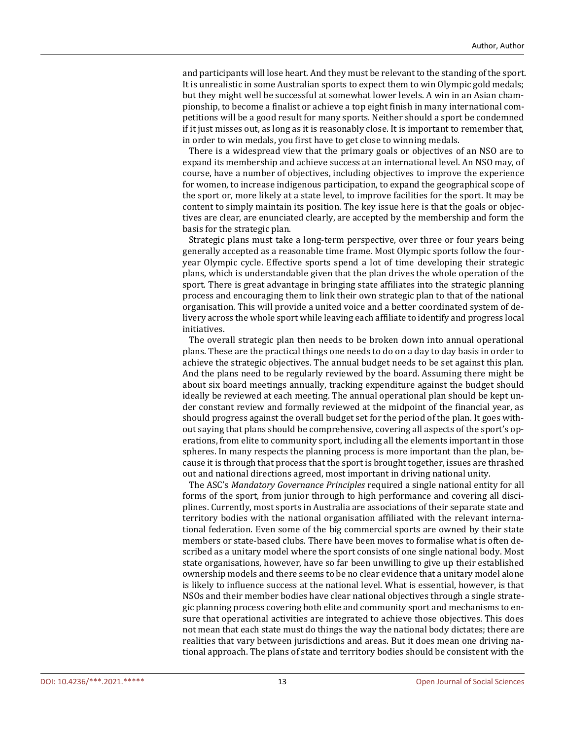and participants will lose heart. And they must be relevant to the standing of the sport. It is unrealistic in some Australian sports to expect them to win Olympic gold medals; but they might well be successful at somewhat lower levels. A win in an Asian championship, to become a finalist or achieve a top eight finish in many international competitions will be a good result for many sports. Neither should a sport be condemned if it just misses out, as long as it is reasonably close. It is important to remember that, in order to win medals, you first have to get close to winning medals.

 There is a widespread view that the primary goals or objectives of an NSO are to expand its membership and achieve success at an international level. An NSO may, of course, have a number of objectives, including objectives to improve the experience for women, to increase indigenous participation, to expand the geographical scope of the sport or, more likely at a state level, to improve facilities for the sport. It may be content to simply maintain its position. The key issue here is that the goals or objectives are clear, are enunciated clearly, are accepted by the membership and form the basis for the strategic plan.

 Strategic plans must take a long-term perspective, over three or four years being generally accepted as a reasonable time frame. Most Olympic sports follow the fouryear Olympic cycle. Effective sports spend a lot of time developing their strategic plans, which is understandable given that the plan drives the whole operation of the sport. There is great advantage in bringing state affiliates into the strategic planning process and encouraging them to link their own strategic plan to that of the national organisation. This will provide a united voice and a better coordinated system of delivery across the whole sport while leaving each affiliate to identify and progress local initiatives.

 The overall strategic plan then needs to be broken down into annual operational plans. These are the practical things one needs to do on a day to day basis in order to achieve the strategic objectives. The annual budget needs to be set against this plan. And the plans need to be regularly reviewed by the board. Assuming there might be about six board meetings annually, tracking expenditure against the budget should ideally be reviewed at each meeting. The annual operational plan should be kept under constant review and formally reviewed at the midpoint of the financial year, as should progress against the overall budget set for the period of the plan. It goes without saying that plans should be comprehensive, covering all aspects of the sport's operations, from elite to community sport, including all the elements important in those spheres. In many respects the planning process is more important than the plan, because it is through that process that the sport is brought together, issues are thrashed out and national directions agreed, most important in driving national unity.

The ASC's *Mandatory Governance Principles* required a single national entity for all forms of the sport, from junior through to high performance and covering all disciplines. Currently, most sports in Australia are associations of their separate state and territory bodies with the national organisation affiliated with the relevant international federation. Even some of the big commercial sports are owned by their state members or state-based clubs. There have been moves to formalise what is often described as a unitary model where the sport consists of one single national body. Most state organisations, however, have so far been unwilling to give up their established ownership models and there seems to be no clear evidence that a unitary model alone is likely to influence success at the national level. What is essential, however, is that NSOs and their member bodies have clear national objectives through a single strategic planning process covering both elite and community sport and mechanisms to ensure that operational activities are integrated to achieve those objectives. This does not mean that each state must do things the way the national body dictates; there are realities that vary between jurisdictions and areas. But it does mean one driving national approach. The plans of state and territory bodies should be consistent with the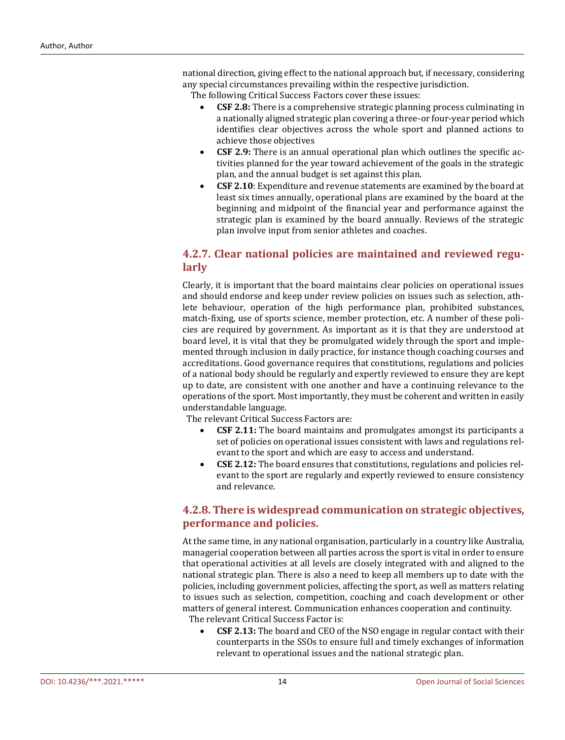national direction, giving effect to the national approach but, if necessary, considering any special circumstances prevailing within the respective jurisdiction.

The following Critical Success Factors cover these issues:

- **CSF 2.8:** There is a comprehensive strategic planning process culminating in a nationally aligned strategic plan covering a three-or four-year period which identifies clear objectives across the whole sport and planned actions to achieve those objectives
- **CSF 2.9:** There is an annual operational plan which outlines the specific activities planned for the year toward achievement of the goals in the strategic plan, and the annual budget is set against this plan.
- **CSF 2.10**: Expenditure and revenue statements are examined by the board at least six times annually, operational plans are examined by the board at the beginning and midpoint of the financial year and performance against the strategic plan is examined by the board annually. Reviews of the strategic plan involve input from senior athletes and coaches.

## **4.2.7. Clear national policies are maintained and reviewed regularly**

Clearly, it is important that the board maintains clear policies on operational issues and should endorse and keep under review policies on issues such as selection, athlete behaviour, operation of the high performance plan, prohibited substances, match-fixing, use of sports science, member protection, etc. A number of these policies are required by government. As important as it is that they are understood at board level, it is vital that they be promulgated widely through the sport and implemented through inclusion in daily practice, for instance though coaching courses and accreditations. Good governance requires that constitutions, regulations and policies of a national body should be regularly and expertly reviewed to ensure they are kept up to date, are consistent with one another and have a continuing relevance to the operations of the sport. Most importantly, they must be coherent and written in easily understandable language.

The relevant Critical Success Factors are:

- **CSF 2.11:** The board maintains and promulgates amongst its participants a set of policies on operational issues consistent with laws and regulations relevant to the sport and which are easy to access and understand.
- **CSE 2.12:** The board ensures that constitutions, regulations and policies relevant to the sport are regularly and expertly reviewed to ensure consistency and relevance.

## **4.2.8. There is widespread communication on strategic objectives, performance and policies.**

At the same time, in any national organisation, particularly in a country like Australia, managerial cooperation between all parties across the sport is vital in order to ensure that operational activities at all levels are closely integrated with and aligned to the national strategic plan. There is also a need to keep all members up to date with the policies, including government policies, affecting the sport, as well as matters relating to issues such as selection, competition, coaching and coach development or other matters of general interest. Communication enhances cooperation and continuity. The relevant Critical Success Factor is:

• **CSF 2.13:** The board and CEO of the NSO engage in regular contact with their counterparts in the SSOs to ensure full and timely exchanges of information relevant to operational issues and the national strategic plan.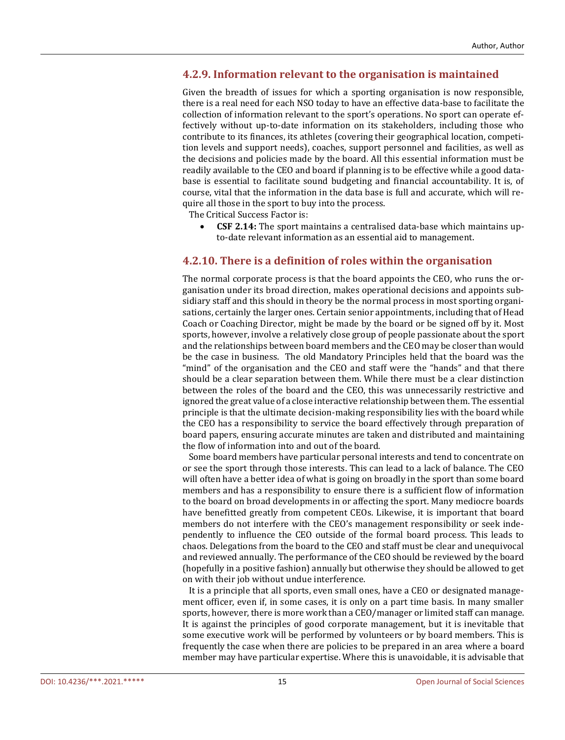#### **4.2.9. Information relevant to the organisation is maintained**

Given the breadth of issues for which a sporting organisation is now responsible, there is a real need for each NSO today to have an effective data-base to facilitate the collection of information relevant to the sport's operations. No sport can operate effectively without up-to-date information on its stakeholders, including those who contribute to its finances, its athletes (covering their geographical location, competition levels and support needs), coaches, support personnel and facilities, as well as the decisions and policies made by the board. All this essential information must be readily available to the CEO and board if planning is to be effective while a good database is essential to facilitate sound budgeting and financial accountability. It is, of course, vital that the information in the data base is full and accurate, which will require all those in the sport to buy into the process.

The Critical Success Factor is:

• **CSF 2.14:** The sport maintains a centralised data-base which maintains upto-date relevant information as an essential aid to management.

#### **4.2.10. There is a definition of roles within the organisation**

The normal corporate process is that the board appoints the CEO, who runs the organisation under its broad direction, makes operational decisions and appoints subsidiary staff and this should in theory be the normal process in most sporting organisations, certainly the larger ones. Certain senior appointments, including that of Head Coach or Coaching Director, might be made by the board or be signed off by it. Most sports, however, involve a relatively close group of people passionate about the sport and the relationships between board members and the CEO may be closer than would be the case in business. The old Mandatory Principles held that the board was the "mind" of the organisation and the CEO and staff were the "hands" and that there should be a clear separation between them. While there must be a clear distinction between the roles of the board and the CEO, this was unnecessarily restrictive and ignored the great value of a close interactive relationship between them. The essential principle is that the ultimate decision-making responsibility lies with the board while the CEO has a responsibility to service the board effectively through preparation of board papers, ensuring accurate minutes are taken and distributed and maintaining the flow of information into and out of the board.

 Some board members have particular personal interests and tend to concentrate on or see the sport through those interests. This can lead to a lack of balance. The CEO will often have a better idea of what is going on broadly in the sport than some board members and has a responsibility to ensure there is a sufficient flow of information to the board on broad developments in or affecting the sport. Many mediocre boards have benefitted greatly from competent CEOs. Likewise, it is important that board members do not interfere with the CEO's management responsibility or seek independently to influence the CEO outside of the formal board process. This leads to chaos. Delegations from the board to the CEO and staff must be clear and unequivocal and reviewed annually. The performance of the CEO should be reviewed by the board (hopefully in a positive fashion) annually but otherwise they should be allowed to get on with their job without undue interference.

 It is a principle that all sports, even small ones, have a CEO or designated management officer, even if, in some cases, it is only on a part time basis. In many smaller sports, however, there is more work than a CEO/manager or limited staff can manage. It is against the principles of good corporate management, but it is inevitable that some executive work will be performed by volunteers or by board members. This is frequently the case when there are policies to be prepared in an area where a board member may have particular expertise. Where this is unavoidable, it is advisable that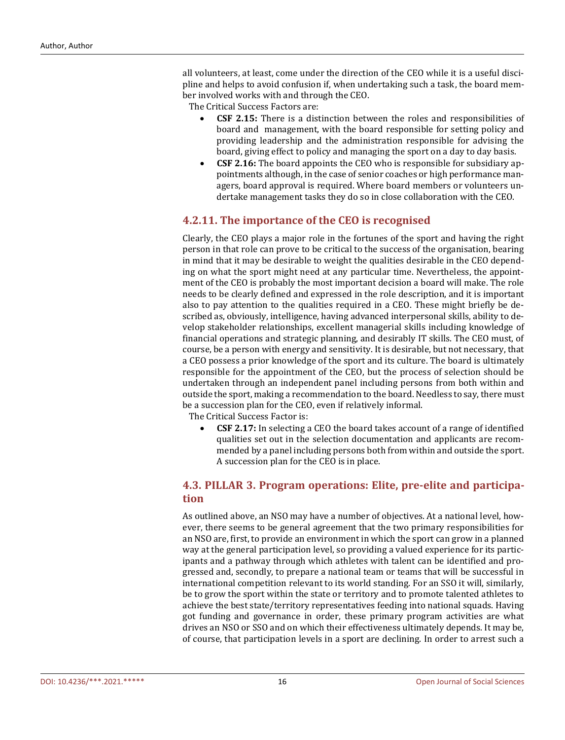all volunteers, at least, come under the direction of the CEO while it is a useful discipline and helps to avoid confusion if, when undertaking such a task, the board member involved works with and through the CEO.

The Critical Success Factors are:

- **CSF 2.15:** There is a distinction between the roles and responsibilities of board and management, with the board responsible for setting policy and providing leadership and the administration responsible for advising the board, giving effect to policy and managing the sport on a day to day basis.
- **CSF 2.16:** The board appoints the CEO who is responsible for subsidiary appointments although, in the case of senior coaches or high performance managers, board approval is required. Where board members or volunteers undertake management tasks they do so in close collaboration with the CEO.

#### **4.2.11. The importance of the CEO is recognised**

Clearly, the CEO plays a major role in the fortunes of the sport and having the right person in that role can prove to be critical to the success of the organisation, bearing in mind that it may be desirable to weight the qualities desirable in the CEO depending on what the sport might need at any particular time. Nevertheless, the appointment of the CEO is probably the most important decision a board will make. The role needs to be clearly defined and expressed in the role description, and it is important also to pay attention to the qualities required in a CEO. These might briefly be described as, obviously, intelligence, having advanced interpersonal skills, ability to develop stakeholder relationships, excellent managerial skills including knowledge of financial operations and strategic planning, and desirably IT skills. The CEO must, of course, be a person with energy and sensitivity. It is desirable, but not necessary, that a CEO possess a prior knowledge of the sport and its culture. The board is ultimately responsible for the appointment of the CEO, but the process of selection should be undertaken through an independent panel including persons from both within and outside the sport, making a recommendation to the board. Needless to say, there must be a succession plan for the CEO, even if relatively informal.

The Critical Success Factor is:

• **CSF 2.17:** In selecting a CEO the board takes account of a range of identified qualities set out in the selection documentation and applicants are recommended by a panel including persons both from within and outside the sport. A succession plan for the CEO is in place.

## **4.3. PILLAR 3. Program operations: Elite, pre-elite and participation**

As outlined above, an NSO may have a number of objectives. At a national level, however, there seems to be general agreement that the two primary responsibilities for an NSO are, first, to provide an environment in which the sport can grow in a planned way at the general participation level, so providing a valued experience for its participants and a pathway through which athletes with talent can be identified and progressed and, secondly, to prepare a national team or teams that will be successful in international competition relevant to its world standing. For an SSO it will, similarly, be to grow the sport within the state or territory and to promote talented athletes to achieve the best state/territory representatives feeding into national squads. Having got funding and governance in order, these primary program activities are what drives an NSO or SSO and on which their effectiveness ultimately depends. It may be, of course, that participation levels in a sport are declining. In order to arrest such a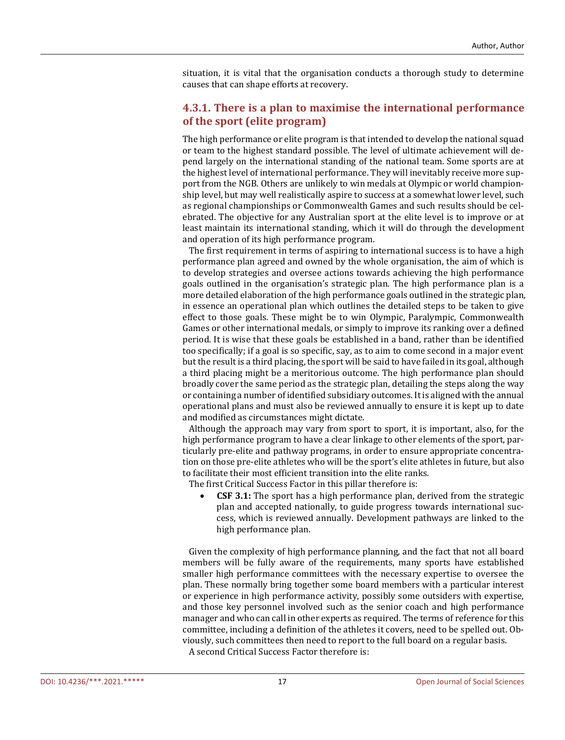situation, it is vital that the organisation conducts a thorough study to determine causes that can shape efforts at recovery.

#### **4.3.1. There is a plan to maximise the international performance of the sport (elite program)**

The high performance or elite program is that intended to develop the national squad or team to the highest standard possible. The level of ultimate achievement will depend largely on the international standing of the national team. Some sports are at the highest level of international performance. They will inevitably receive more support from the NGB. Others are unlikely to win medals at Olympic or world championship level, but may well realistically aspire to success at a somewhat lower level, such as regional championships or Commonwealth Games and such results should be celebrated. The objective for any Australian sport at the elite level is to improve or at least maintain its international standing, which it will do through the development and operation of its high performance program.

 The first requirement in terms of aspiring to international success is to have a high performance plan agreed and owned by the whole organisation, the aim of which is to develop strategies and oversee actions towards achieving the high performance goals outlined in the organisation's strategic plan. The high performance plan is a more detailed elaboration of the high performance goals outlined in the strategic plan, in essence an operational plan which outlines the detailed steps to be taken to give effect to those goals. These might be to win Olympic, Paralympic, Commonwealth Games or other international medals, or simply to improve its ranking over a defined period. It is wise that these goals be established in a band, rather than be identified too specifically; if a goal is so specific, say, as to aim to come second in a major event but the result is a third placing, the sport will be said to have failed in its goal, although a third placing might be a meritorious outcome. The high performance plan should broadly cover the same period as the strategic plan, detailing the steps along the way or containing a number of identified subsidiary outcomes. It is aligned with the annual operational plans and must also be reviewed annually to ensure it is kept up to date and modified as circumstances might dictate.

 Although the approach may vary from sport to sport, it is important, also, for the high performance program to have a clear linkage to other elements of the sport, particularly pre-elite and pathway programs, in order to ensure appropriate concentration on those pre-elite athletes who will be the sport's elite athletes in future, but also to facilitate their most efficient transition into the elite ranks.

The first Critical Success Factor in this pillar therefore is:

• **CSF 3.1:** The sport has a high performance plan, derived from the strategic plan and accepted nationally, to guide progress towards international success, which is reviewed annually. Development pathways are linked to the high performance plan.

 Given the complexity of high performance planning, and the fact that not all board members will be fully aware of the requirements, many sports have established smaller high performance committees with the necessary expertise to oversee the plan. These normally bring together some board members with a particular interest or experience in high performance activity, possibly some outsiders with expertise, and those key personnel involved such as the senior coach and high performance manager and who can call in other experts as required. The terms of reference for this committee, including a definition of the athletes it covers, need to be spelled out. Obviously, such committees then need to report to the full board on a regular basis. A second Critical Success Factor therefore is: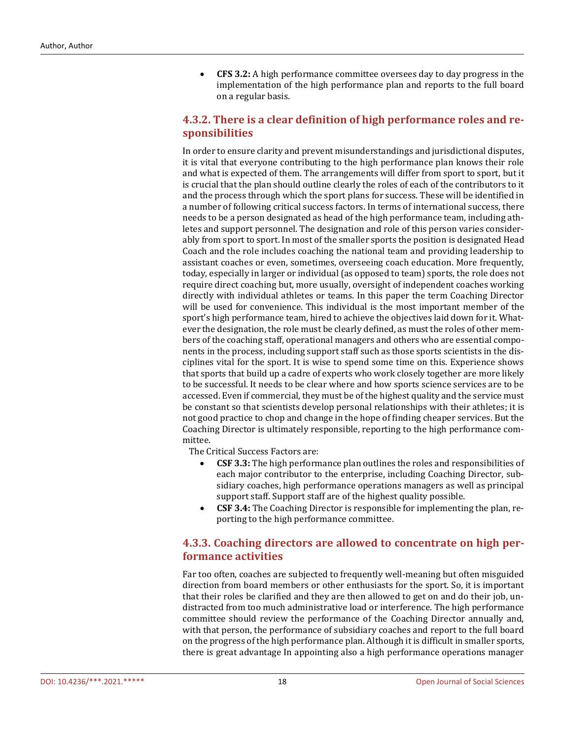• **CFS 3.2:** A high performance committee oversees day to day progress in the implementation of the high performance plan and reports to the full board on a regular basis.

## **4.3.2. There is a clear definition of high performance roles and responsibilities**

In order to ensure clarity and prevent misunderstandings and jurisdictional disputes, it is vital that everyone contributing to the high performance plan knows their role and what is expected of them. The arrangements will differ from sport to sport, but it is crucial that the plan should outline clearly the roles of each of the contributors to it and the process through which the sport plans for success. These will be identified in a number of following critical success factors. In terms of international success, there needs to be a person designated as head of the high performance team, including athletes and support personnel. The designation and role of this person varies considerably from sport to sport. In most of the smaller sports the position is designated Head Coach and the role includes coaching the national team and providing leadership to assistant coaches or even, sometimes, overseeing coach education. More frequently, today, especially in larger or individual (as opposed to team) sports, the role does not require direct coaching but, more usually, oversight of independent coaches working directly with individual athletes or teams. In this paper the term Coaching Director will be used for convenience. This individual is the most important member of the sport's high performance team, hired to achieve the objectives laid down for it. Whatever the designation, the role must be clearly defined, as must the roles of other members of the coaching staff, operational managers and others who are essential components in the process, including support staff such as those sports scientists in the disciplines vital for the sport. It is wise to spend some time on this. Experience shows that sports that build up a cadre of experts who work closely together are more likely to be successful. It needs to be clear where and how sports science services are to be accessed. Even if commercial, they must be of the highest quality and the service must be constant so that scientists develop personal relationships with their athletes; it is not good practice to chop and change in the hope of finding cheaper services. But the Coaching Director is ultimately responsible, reporting to the high performance committee.

The Critical Success Factors are:

- **CSF 3.3:** The high performance plan outlines the roles and responsibilities of each major contributor to the enterprise, including Coaching Director, subsidiary coaches, high performance operations managers as well as principal support staff. Support staff are of the highest quality possible.
- **CSF 3.4:** The Coaching Director is responsible for implementing the plan, reporting to the high performance committee.

## **4.3.3. Coaching directors are allowed to concentrate on high performance activities**

Far too often, coaches are subjected to frequently well-meaning but often misguided direction from board members or other enthusiasts for the sport. So, it is important that their roles be clarified and they are then allowed to get on and do their job, undistracted from too much administrative load or interference. The high performance committee should review the performance of the Coaching Director annually and, with that person, the performance of subsidiary coaches and report to the full board on the progress of the high performance plan. Although it is difficult in smaller sports, there is great advantage In appointing also a high performance operations manager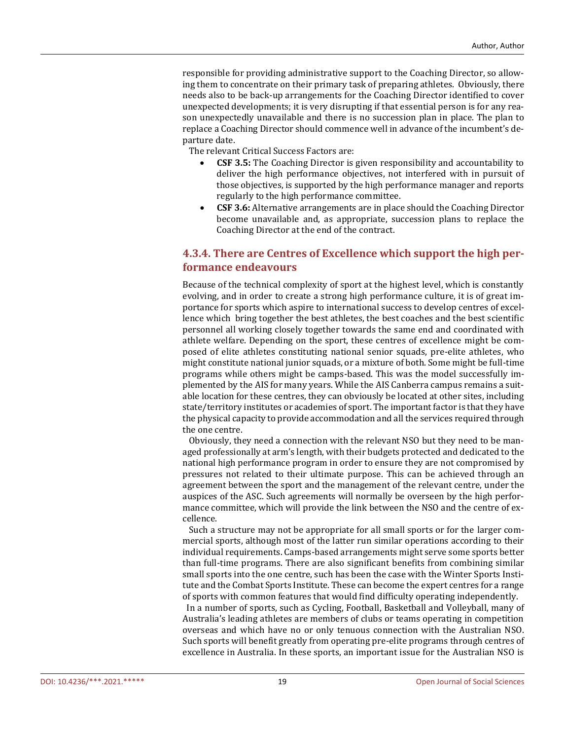responsible for providing administrative support to the Coaching Director, so allowing them to concentrate on their primary task of preparing athletes. Obviously, there needs also to be back-up arrangements for the Coaching Director identified to cover unexpected developments; it is very disrupting if that essential person is for any reason unexpectedly unavailable and there is no succession plan in place. The plan to replace a Coaching Director should commence well in advance of the incumbent's departure date.

The relevant Critical Success Factors are:

- **CSF 3.5:** The Coaching Director is given responsibility and accountability to deliver the high performance objectives, not interfered with in pursuit of those objectives, is supported by the high performance manager and reports regularly to the high performance committee.
- **CSF 3.6:** Alternative arrangements are in place should the Coaching Director become unavailable and, as appropriate, succession plans to replace the Coaching Director at the end of the contract.

## **4.3.4. There are Centres of Excellence which support the high performance endeavours**

Because of the technical complexity of sport at the highest level, which is constantly evolving, and in order to create a strong high performance culture, it is of great importance for sports which aspire to international success to develop centres of excellence which bring together the best athletes, the best coaches and the best scientific personnel all working closely together towards the same end and coordinated with athlete welfare. Depending on the sport, these centres of excellence might be composed of elite athletes constituting national senior squads, pre-elite athletes, who might constitute national junior squads, or a mixture of both. Some might be full-time programs while others might be camps-based. This was the model successfully implemented by the AIS for many years. While the AIS Canberra campus remains a suitable location for these centres, they can obviously be located at other sites, including state/territory institutes or academies of sport. The important factor is that they have the physical capacity to provide accommodation and all the services required through the one centre.

Obviously, they need a connection with the relevant NSO but they need to be managed professionally at arm's length, with their budgets protected and dedicated to the national high performance program in order to ensure they are not compromised by pressures not related to their ultimate purpose. This can be achieved through an agreement between the sport and the management of the relevant centre, under the auspices of the ASC. Such agreements will normally be overseen by the high performance committee, which will provide the link between the NSO and the centre of excellence.

Such a structure may not be appropriate for all small sports or for the larger commercial sports, although most of the latter run similar operations according to their individual requirements. Camps-based arrangements might serve some sports better than full-time programs. There are also significant benefits from combining similar small sports into the one centre, such has been the case with the Winter Sports Institute and the Combat Sports Institute. These can become the expert centres for a range of sports with common features that would find difficulty operating independently.

In a number of sports, such as Cycling, Football, Basketball and Volleyball, many of Australia's leading athletes are members of clubs or teams operating in competition overseas and which have no or only tenuous connection with the Australian NSO. Such sports will benefit greatly from operating pre-elite programs through centres of excellence in Australia. In these sports, an important issue for the Australian NSO is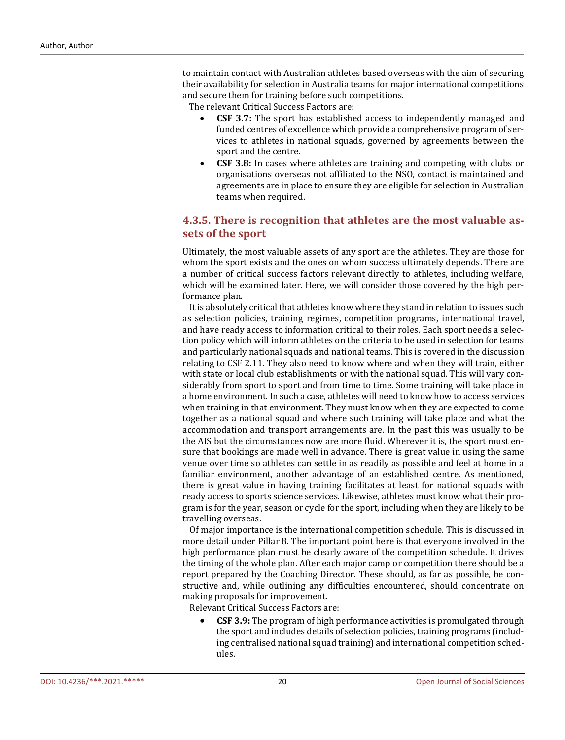to maintain contact with Australian athletes based overseas with the aim of securing their availability for selection in Australia teams for major international competitions and secure them for training before such competitions.

The relevant Critical Success Factors are:

- **CSF 3.7:** The sport has established access to independently managed and funded centres of excellence which provide a comprehensive program of services to athletes in national squads, governed by agreements between the sport and the centre.
- **CSF 3.8:** In cases where athletes are training and competing with clubs or organisations overseas not affiliated to the NSO, contact is maintained and agreements are in place to ensure they are eligible for selection in Australian teams when required.

## **4.3.5. There is recognition that athletes are the most valuable assets of the sport**

Ultimately, the most valuable assets of any sport are the athletes. They are those for whom the sport exists and the ones on whom success ultimately depends. There are a number of critical success factors relevant directly to athletes, including welfare, which will be examined later. Here, we will consider those covered by the high performance plan.

It is absolutely critical that athletes know where they stand in relation to issues such as selection policies, training regimes, competition programs, international travel, and have ready access to information critical to their roles. Each sport needs a selection policy which will inform athletes on the criteria to be used in selection for teams and particularly national squads and national teams. This is covered in the discussion relating to CSF 2.11. They also need to know where and when they will train, either with state or local club establishments or with the national squad. This will vary considerably from sport to sport and from time to time. Some training will take place in a home environment. In such a case, athletes will need to know how to access services when training in that environment. They must know when they are expected to come together as a national squad and where such training will take place and what the accommodation and transport arrangements are. In the past this was usually to be the AIS but the circumstances now are more fluid. Wherever it is, the sport must ensure that bookings are made well in advance. There is great value in using the same venue over time so athletes can settle in as readily as possible and feel at home in a familiar environment, another advantage of an established centre. As mentioned, there is great value in having training facilitates at least for national squads with ready access to sports science services. Likewise, athletes must know what their program is for the year, season or cycle for the sport, including when they are likely to be travelling overseas.

Of major importance is the international competition schedule. This is discussed in more detail under Pillar 8. The important point here is that everyone involved in the high performance plan must be clearly aware of the competition schedule. It drives the timing of the whole plan. After each major camp or competition there should be a report prepared by the Coaching Director. These should, as far as possible, be constructive and, while outlining any difficulties encountered, should concentrate on making proposals for improvement.

Relevant Critical Success Factors are:

• **CSF 3.9:** The program of high performance activities is promulgated through the sport and includes details of selection policies, training programs (including centralised national squad training) and international competition schedules.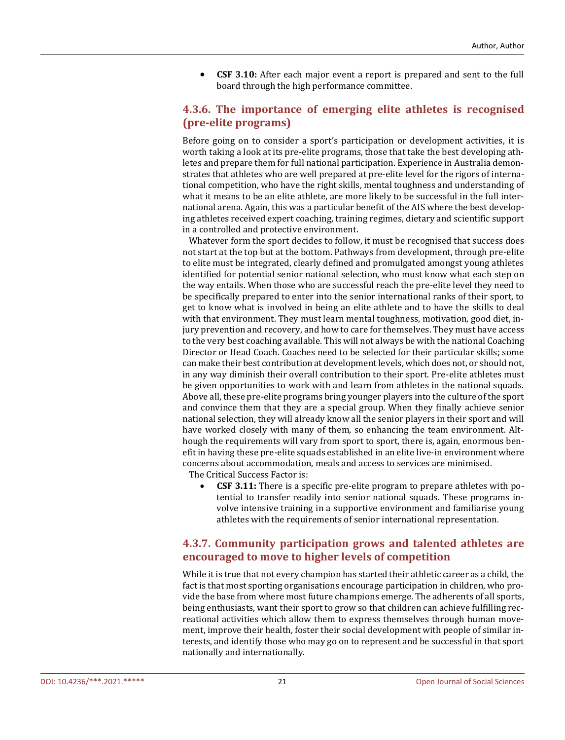• **CSF 3.10:** After each major event a report is prepared and sent to the full board through the high performance committee.

## **4.3.6. The importance of emerging elite athletes is recognised (pre-elite programs)**

Before going on to consider a sport's participation or development activities, it is worth taking a look at its pre-elite programs, those that take the best developing athletes and prepare them for full national participation. Experience in Australia demonstrates that athletes who are well prepared at pre-elite level for the rigors of international competition, who have the right skills, mental toughness and understanding of what it means to be an elite athlete, are more likely to be successful in the full international arena. Again, this was a particular benefit of the AIS where the best developing athletes received expert coaching, training regimes, dietary and scientific support in a controlled and protective environment.

 Whatever form the sport decides to follow, it must be recognised that success does not start at the top but at the bottom. Pathways from development, through pre-elite to elite must be integrated, clearly defined and promulgated amongst young athletes identified for potential senior national selection, who must know what each step on the way entails. When those who are successful reach the pre-elite level they need to be specifically prepared to enter into the senior international ranks of their sport, to get to know what is involved in being an elite athlete and to have the skills to deal with that environment. They must learn mental toughness, motivation, good diet, injury prevention and recovery, and how to care for themselves. They must have access to the very best coaching available. This will not always be with the national Coaching Director or Head Coach. Coaches need to be selected for their particular skills; some can make their best contribution at development levels, which does not, or should not, in any way diminish their overall contribution to their sport. Pre-elite athletes must be given opportunities to work with and learn from athletes in the national squads. Above all, these pre-elite programs bring younger players into the culture of the sport and convince them that they are a special group. When they finally achieve senior national selection, they will already know all the senior players in their sport and will have worked closely with many of them, so enhancing the team environment. Although the requirements will vary from sport to sport, there is, again, enormous benefit in having these pre-elite squads established in an elite live-in environment where concerns about accommodation, meals and access to services are minimised. The Critical Success Factor is:

• **CSF 3.11:** There is a specific pre-elite program to prepare athletes with potential to transfer readily into senior national squads. These programs involve intensive training in a supportive environment and familiarise young

## **4.3.7. Community participation grows and talented athletes are encouraged to move to higher levels of competition**

athletes with the requirements of senior international representation.

While it is true that not every champion has started their athletic career as a child, the fact is that most sporting organisations encourage participation in children, who provide the base from where most future champions emerge. The adherents of all sports, being enthusiasts, want their sport to grow so that children can achieve fulfilling recreational activities which allow them to express themselves through human movement, improve their health, foster their social development with people of similar interests, and identify those who may go on to represent and be successful in that sport nationally and internationally.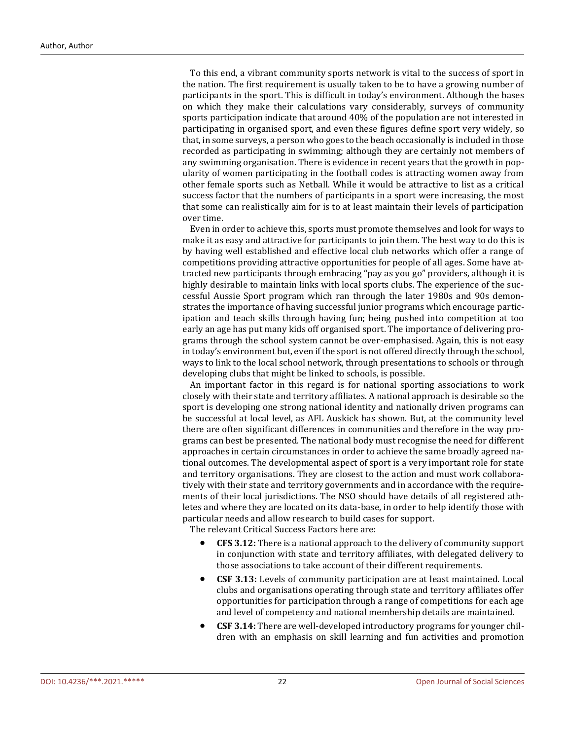To this end, a vibrant community sports network is vital to the success of sport in the nation. The first requirement is usually taken to be to have a growing number of participants in the sport. This is difficult in today's environment. Although the bases on which they make their calculations vary considerably, surveys of community sports participation indicate that around 40% of the population are not interested in participating in organised sport, and even these figures define sport very widely, so that, in some surveys, a person who goes to the beach occasionally is included in those recorded as participating in swimming; although they are certainly not members of any swimming organisation. There is evidence in recent years that the growth in popularity of women participating in the football codes is attracting women away from other female sports such as Netball. While it would be attractive to list as a critical success factor that the numbers of participants in a sport were increasing, the most that some can realistically aim for is to at least maintain their levels of participation over time.

Even in order to achieve this, sports must promote themselves and look for ways to make it as easy and attractive for participants to join them. The best way to do this is by having well established and effective local club networks which offer a range of competitions providing attractive opportunities for people of all ages. Some have attracted new participants through embracing "pay as you go" providers, although it is highly desirable to maintain links with local sports clubs. The experience of the successful Aussie Sport program which ran through the later 1980s and 90s demonstrates the importance of having successful junior programs which encourage participation and teach skills through having fun; being pushed into competition at too early an age has put many kids off organised sport. The importance of delivering programs through the school system cannot be over-emphasised. Again, this is not easy in today's environment but, even if the sport is not offered directly through the school, ways to link to the local school network, through presentations to schools or through developing clubs that might be linked to schools, is possible.

An important factor in this regard is for national sporting associations to work closely with their state and territory affiliates. A national approach is desirable so the sport is developing one strong national identity and nationally driven programs can be successful at local level, as AFL Auskick has shown. But, at the community level there are often significant differences in communities and therefore in the way programs can best be presented. The national body must recognise the need for different approaches in certain circumstances in order to achieve the same broadly agreed national outcomes. The developmental aspect of sport is a very important role for state and territory organisations. They are closest to the action and must work collaboratively with their state and territory governments and in accordance with the requirements of their local jurisdictions. The NSO should have details of all registered athletes and where they are located on its data-base, in order to help identify those with particular needs and allow research to build cases for support.

The relevant Critical Success Factors here are:

- **CFS 3.12:** There is a national approach to the delivery of community support in conjunction with state and territory affiliates, with delegated delivery to those associations to take account of their different requirements.
- **CSF 3.13:** Levels of community participation are at least maintained. Local clubs and organisations operating through state and territory affiliates offer opportunities for participation through a range of competitions for each age and level of competency and national membership details are maintained.
- **CSF 3.14:** There are well-developed introductory programs for younger children with an emphasis on skill learning and fun activities and promotion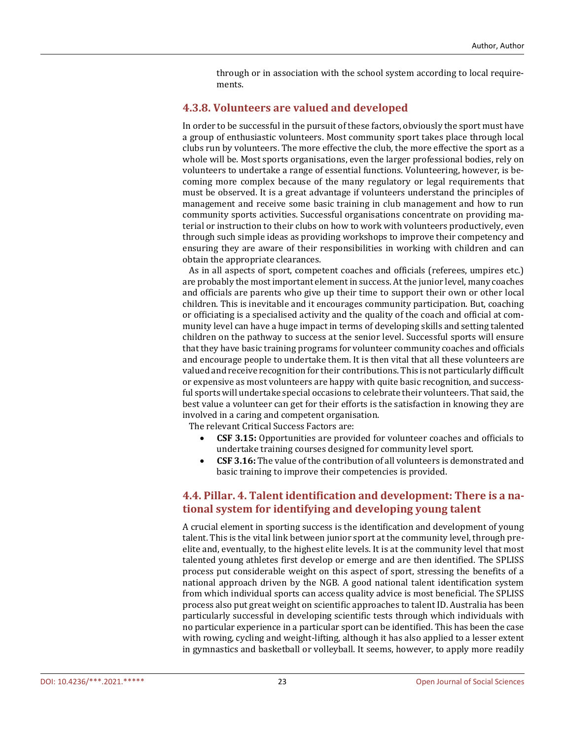through or in association with the school system according to local requirements.

#### **4.3.8. Volunteers are valued and developed**

In order to be successful in the pursuit of these factors, obviously the sport must have a group of enthusiastic volunteers. Most community sport takes place through local clubs run by volunteers. The more effective the club, the more effective the sport as a whole will be. Most sports organisations, even the larger professional bodies, rely on volunteers to undertake a range of essential functions. Volunteering, however, is becoming more complex because of the many regulatory or legal requirements that must be observed. It is a great advantage if volunteers understand the principles of management and receive some basic training in club management and how to run community sports activities. Successful organisations concentrate on providing material or instruction to their clubs on how to work with volunteers productively, even through such simple ideas as providing workshops to improve their competency and ensuring they are aware of their responsibilities in working with children and can obtain the appropriate clearances.

 As in all aspects of sport, competent coaches and officials (referees, umpires etc.) are probably the most important element in success. At the junior level, many coaches and officials are parents who give up their time to support their own or other local children. This is inevitable and it encourages community participation. But, coaching or officiating is a specialised activity and the quality of the coach and official at community level can have a huge impact in terms of developing skills and setting talented children on the pathway to success at the senior level. Successful sports will ensure that they have basic training programs for volunteer community coaches and officials and encourage people to undertake them. It is then vital that all these volunteers are valued and receive recognition for their contributions. This is not particularly difficult or expensive as most volunteers are happy with quite basic recognition, and successful sports will undertake special occasions to celebrate their volunteers. That said, the best value a volunteer can get for their efforts is the satisfaction in knowing they are involved in a caring and competent organisation.

The relevant Critical Success Factors are:

- **CSF 3.15:** Opportunities are provided for volunteer coaches and officials to undertake training courses designed for community level sport.
- **CSF 3.16:** The value of the contribution of all volunteers is demonstrated and basic training to improve their competencies is provided.

## **4.4. Pillar. 4. Talent identification and development: There is a national system for identifying and developing young talent**

A crucial element in sporting success is the identification and development of young talent. This is the vital link between junior sport at the community level, through preelite and, eventually, to the highest elite levels. It is at the community level that most talented young athletes first develop or emerge and are then identified. The SPLISS process put considerable weight on this aspect of sport, stressing the benefits of a national approach driven by the NGB. A good national talent identification system from which individual sports can access quality advice is most beneficial. The SPLISS process also put great weight on scientific approaches to talent ID. Australia has been particularly successful in developing scientific tests through which individuals with no particular experience in a particular sport can be identified. This has been the case with rowing, cycling and weight-lifting, although it has also applied to a lesser extent in gymnastics and basketball or volleyball. It seems, however, to apply more readily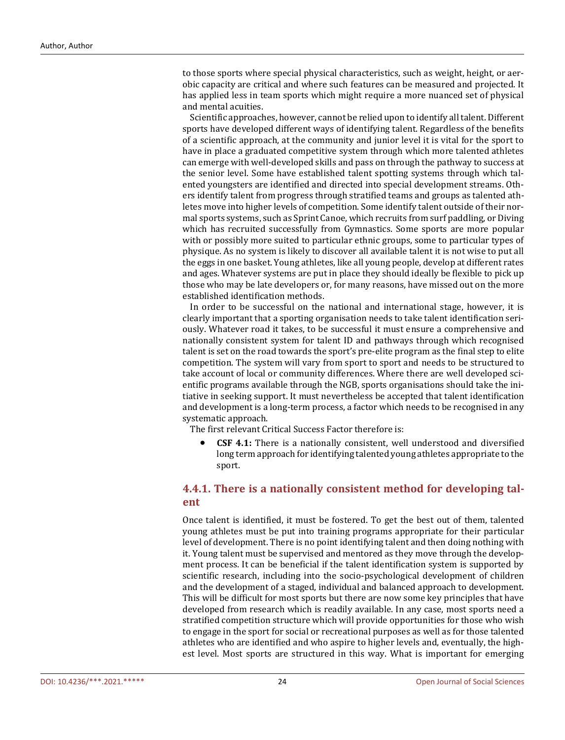to those sports where special physical characteristics, such as weight, height, or aerobic capacity are critical and where such features can be measured and projected. It has applied less in team sports which might require a more nuanced set of physical and mental acuities.

Scientific approaches, however, cannot be relied upon to identify all talent. Different sports have developed different ways of identifying talent. Regardless of the benefits of a scientific approach, at the community and junior level it is vital for the sport to have in place a graduated competitive system through which more talented athletes can emerge with well-developed skills and pass on through the pathway to success at the senior level. Some have established talent spotting systems through which talented youngsters are identified and directed into special development streams. Others identify talent from progress through stratified teams and groups as talented athletes move into higher levels of competition. Some identify talent outside of their normal sports systems, such as Sprint Canoe, which recruits from surf paddling, or Diving which has recruited successfully from Gymnastics. Some sports are more popular with or possibly more suited to particular ethnic groups, some to particular types of physique. As no system is likely to discover all available talent it is not wise to put all the eggs in one basket. Young athletes, like all young people, develop at different rates and ages. Whatever systems are put in place they should ideally be flexible to pick up those who may be late developers or, for many reasons, have missed out on the more established identification methods.

In order to be successful on the national and international stage, however, it is clearly important that a sporting organisation needs to take talent identification seriously. Whatever road it takes, to be successful it must ensure a comprehensive and nationally consistent system for talent ID and pathways through which recognised talent is set on the road towards the sport's pre-elite program as the final step to elite competition. The system will vary from sport to sport and needs to be structured to take account of local or community differences. Where there are well developed scientific programs available through the NGB, sports organisations should take the initiative in seeking support. It must nevertheless be accepted that talent identification and development is a long-term process, a factor which needs to be recognised in any systematic approach.

The first relevant Critical Success Factor therefore is:

• **CSF 4.1:** There is a nationally consistent, well understood and diversified long term approach for identifying talented young athletes appropriate to the sport.

## **4.4.1. There is a nationally consistent method for developing talent**

Once talent is identified, it must be fostered. To get the best out of them, talented young athletes must be put into training programs appropriate for their particular level of development. There is no point identifying talent and then doing nothing with it. Young talent must be supervised and mentored as they move through the development process. It can be beneficial if the talent identification system is supported by scientific research, including into the socio-psychological development of children and the development of a staged, individual and balanced approach to development. This will be difficult for most sports but there are now some key principles that have developed from research which is readily available. In any case, most sports need a stratified competition structure which will provide opportunities for those who wish to engage in the sport for social or recreational purposes as well as for those talented athletes who are identified and who aspire to higher levels and, eventually, the highest level. Most sports are structured in this way. What is important for emerging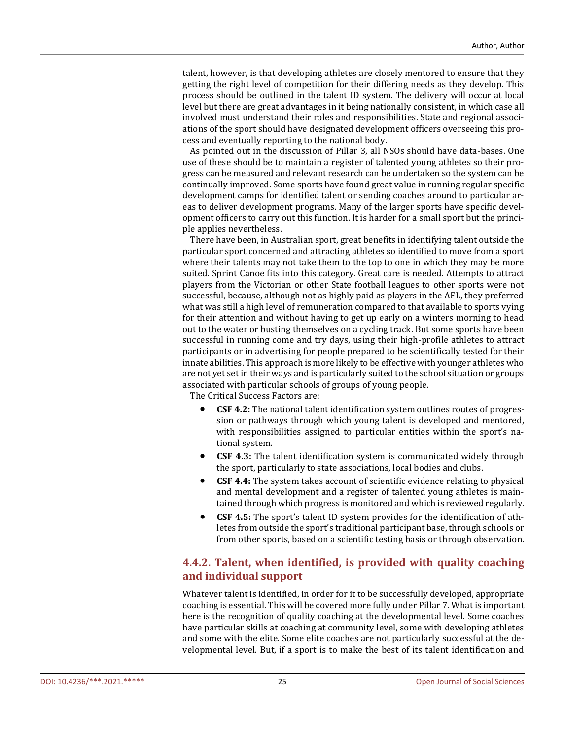talent, however, is that developing athletes are closely mentored to ensure that they getting the right level of competition for their differing needs as they develop. This process should be outlined in the talent ID system. The delivery will occur at local level but there are great advantages in it being nationally consistent, in which case all involved must understand their roles and responsibilities. State and regional associations of the sport should have designated development officers overseeing this process and eventually reporting to the national body.

As pointed out in the discussion of Pillar 3, all NSOs should have data-bases. One use of these should be to maintain a register of talented young athletes so their progress can be measured and relevant research can be undertaken so the system can be continually improved. Some sports have found great value in running regular specific development camps for identified talent or sending coaches around to particular areas to deliver development programs. Many of the larger sports have specific development officers to carry out this function. It is harder for a small sport but the principle applies nevertheless.

There have been, in Australian sport, great benefits in identifying talent outside the particular sport concerned and attracting athletes so identified to move from a sport where their talents may not take them to the top to one in which they may be more suited. Sprint Canoe fits into this category. Great care is needed. Attempts to attract players from the Victorian or other State football leagues to other sports were not successful, because, although not as highly paid as players in the AFL, they preferred what was still a high level of remuneration compared to that available to sports vying for their attention and without having to get up early on a winters morning to head out to the water or busting themselves on a cycling track. But some sports have been successful in running come and try days, using their high-profile athletes to attract participants or in advertising for people prepared to be scientifically tested for their innate abilities. This approach is more likely to be effective with younger athletes who are not yet set in their ways and is particularly suited to the school situation or groups associated with particular schools of groups of young people.

The Critical Success Factors are:

- **CSF 4.2:** The national talent identification system outlines routes of progression or pathways through which young talent is developed and mentored, with responsibilities assigned to particular entities within the sport's national system.
- **CSF 4.3:** The talent identification system is communicated widely through the sport, particularly to state associations, local bodies and clubs.
- **CSF 4.4:** The system takes account of scientific evidence relating to physical and mental development and a register of talented young athletes is maintained through which progress is monitored and which is reviewed regularly.
- **CSF 4.5:** The sport's talent ID system provides for the identification of athletes from outside the sport's traditional participant base, through schools or from other sports, based on a scientific testing basis or through observation.

## **4.4.2. Talent, when identified, is provided with quality coaching and individual support**

Whatever talent is identified, in order for it to be successfully developed, appropriate coaching is essential. This will be covered more fully under Pillar 7. What is important here is the recognition of quality coaching at the developmental level. Some coaches have particular skills at coaching at community level, some with developing athletes and some with the elite. Some elite coaches are not particularly successful at the developmental level. But, if a sport is to make the best of its talent identification and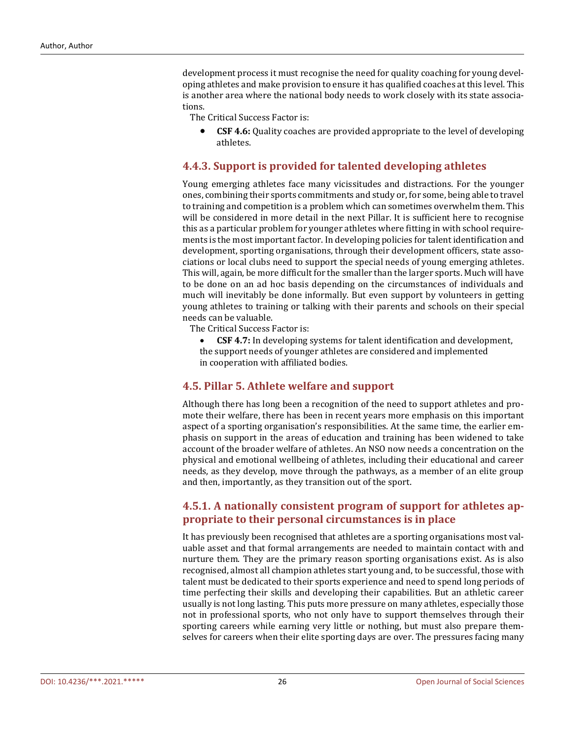development process it must recognise the need for quality coaching for young developing athletes and make provision to ensure it has qualified coaches at this level. This is another area where the national body needs to work closely with its state associations.

The Critical Success Factor is:

• **CSF 4.6:** Quality coaches are provided appropriate to the level of developing athletes.

#### **4.4.3. Support is provided for talented developing athletes**

Young emerging athletes face many vicissitudes and distractions. For the younger ones, combining their sports commitments and study or, for some, being able to travel to training and competition is a problem which can sometimes overwhelm them. This will be considered in more detail in the next Pillar. It is sufficient here to recognise this as a particular problem for younger athletes where fitting in with school requirements is the most important factor. In developing policies for talent identification and development, sporting organisations, through their development officers, state associations or local clubs need to support the special needs of young emerging athletes. This will, again, be more difficult for the smaller than the larger sports. Much will have to be done on an ad hoc basis depending on the circumstances of individuals and much will inevitably be done informally. But even support by volunteers in getting young athletes to training or talking with their parents and schools on their special needs can be valuable.

The Critical Success Factor is:

• **CSF 4.7:** In developing systems for talent identification and development, the support needs of younger athletes are considered and implemented in cooperation with affiliated bodies.

#### **4.5. Pillar 5. Athlete welfare and support**

Although there has long been a recognition of the need to support athletes and promote their welfare, there has been in recent years more emphasis on this important aspect of a sporting organisation's responsibilities. At the same time, the earlier emphasis on support in the areas of education and training has been widened to take account of the broader welfare of athletes. An NSO now needs a concentration on the physical and emotional wellbeing of athletes, including their educational and career needs, as they develop, move through the pathways, as a member of an elite group and then, importantly, as they transition out of the sport.

## **4.5.1. A nationally consistent program of support for athletes appropriate to their personal circumstances is in place**

It has previously been recognised that athletes are a sporting organisations most valuable asset and that formal arrangements are needed to maintain contact with and nurture them. They are the primary reason sporting organisations exist. As is also recognised, almost all champion athletes start young and, to be successful, those with talent must be dedicated to their sports experience and need to spend long periods of time perfecting their skills and developing their capabilities. But an athletic career usually is not long lasting. This puts more pressure on many athletes, especially those not in professional sports, who not only have to support themselves through their sporting careers while earning very little or nothing, but must also prepare themselves for careers when their elite sporting days are over. The pressures facing many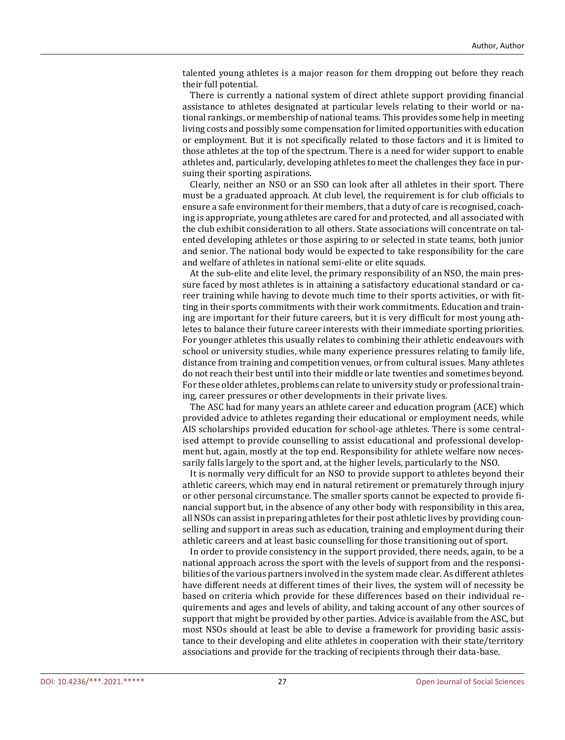talented young athletes is a major reason for them dropping out before they reach their full potential.

There is currently a national system of direct athlete support providing financial assistance to athletes designated at particular levels relating to their world or national rankings, or membership of national teams. This provides some help in meeting living costs and possibly some compensation for limited opportunities with education or employment. But it is not specifically related to those factors and it is limited to those athletes at the top of the spectrum. There is a need for wider support to enable athletes and, particularly, developing athletes to meet the challenges they face in pursuing their sporting aspirations.

Clearly, neither an NSO or an SSO can look after all athletes in their sport. There must be a graduated approach. At club level, the requirement is for club officials to ensure a safe environment for their members, that a duty of care is recognised, coaching is appropriate, young athletes are cared for and protected, and all associated with the club exhibit consideration to all others. State associations will concentrate on talented developing athletes or those aspiring to or selected in state teams, both junior and senior. The national body would be expected to take responsibility for the care and welfare of athletes in national semi-elite or elite squads.

At the sub-elite and elite level, the primary responsibility of an NSO, the main pressure faced by most athletes is in attaining a satisfactory educational standard or career training while having to devote much time to their sports activities, or with fitting in their sports commitments with their work commitments. Education and training are important for their future careers, but it is very difficult for most young athletes to balance their future career interests with their immediate sporting priorities. For younger athletes this usually relates to combining their athletic endeavours with school or university studies, while many experience pressures relating to family life, distance from training and competition venues, or from cultural issues. Many athletes do not reach their best until into their middle or late twenties and sometimes beyond. For these older athletes, problems can relate to university study or professional training, career pressures or other developments in their private lives.

The ASC had for many years an athlete career and education program (ACE) which provided advice to athletes regarding their educational or employment needs, while AIS scholarships provided education for school-age athletes. There is some centralised attempt to provide counselling to assist educational and professional development but, again, mostly at the top end. Responsibility for athlete welfare now necessarily falls largely to the sport and, at the higher levels, particularly to the NSO.

It is normally very difficult for an NSO to provide support to athletes beyond their athletic careers, which may end in natural retirement or prematurely through injury or other personal circumstance. The smaller sports cannot be expected to provide financial support but, in the absence of any other body with responsibility in this area, all NSOs can assist in preparing athletes for their post athletic lives by providing counselling and support in areas such as education, training and employment during their athletic careers and at least basic counselling for those transitioning out of sport.

In order to provide consistency in the support provided, there needs, again, to be a national approach across the sport with the levels of support from and the responsibilities of the various partners involved in the system made clear. As different athletes have different needs at different times of their lives, the system will of necessity be based on criteria which provide for these differences based on their individual requirements and ages and levels of ability, and taking account of any other sources of support that might be provided by other parties. Advice is available from the ASC, but most NSOs should at least be able to devise a framework for providing basic assistance to their developing and elite athletes in cooperation with their state/territory associations and provide for the tracking of recipients through their data-base.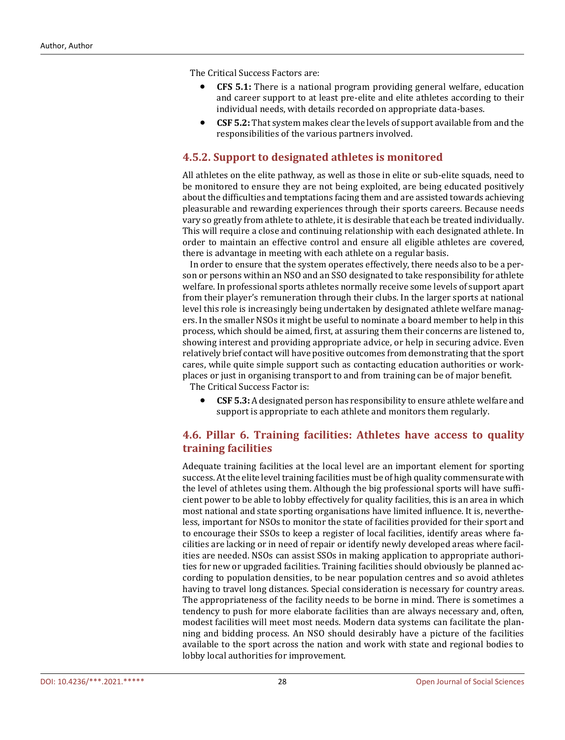The Critical Success Factors are:

- **CFS 5.1:** There is a national program providing general welfare, education and career support to at least pre-elite and elite athletes according to their individual needs, with details recorded on appropriate data-bases.
- **CSF 5.2:** That system makes clear the levels of support available from and the responsibilities of the various partners involved.

#### **4.5.2. Support to designated athletes is monitored**

All athletes on the elite pathway, as well as those in elite or sub-elite squads, need to be monitored to ensure they are not being exploited, are being educated positively about the difficulties and temptations facing them and are assisted towards achieving pleasurable and rewarding experiences through their sports careers. Because needs vary so greatly from athlete to athlete, it is desirable that each be treated individually. This will require a close and continuing relationship with each designated athlete. In order to maintain an effective control and ensure all eligible athletes are covered, there is advantage in meeting with each athlete on a regular basis.

In order to ensure that the system operates effectively, there needs also to be a person or persons within an NSO and an SSO designated to take responsibility for athlete welfare. In professional sports athletes normally receive some levels of support apart from their player's remuneration through their clubs. In the larger sports at national level this role is increasingly being undertaken by designated athlete welfare managers. In the smaller NSOs it might be useful to nominate a board member to help in this process, which should be aimed, first, at assuring them their concerns are listened to, showing interest and providing appropriate advice, or help in securing advice. Even relatively brief contact will have positive outcomes from demonstrating that the sport cares, while quite simple support such as contacting education authorities or workplaces or just in organising transport to and from training can be of major benefit.

The Critical Success Factor is:

• **CSF 5.3:** A designated person has responsibility to ensure athlete welfare and support is appropriate to each athlete and monitors them regularly.

## **4.6. Pillar 6. Training facilities: Athletes have access to quality training facilities**

Adequate training facilities at the local level are an important element for sporting success. At the elite level training facilities must be of high quality commensurate with the level of athletes using them. Although the big professional sports will have sufficient power to be able to lobby effectively for quality facilities, this is an area in which most national and state sporting organisations have limited influence. It is, nevertheless, important for NSOs to monitor the state of facilities provided for their sport and to encourage their SSOs to keep a register of local facilities, identify areas where facilities are lacking or in need of repair or identify newly developed areas where facilities are needed. NSOs can assist SSOs in making application to appropriate authorities for new or upgraded facilities. Training facilities should obviously be planned according to population densities, to be near population centres and so avoid athletes having to travel long distances. Special consideration is necessary for country areas. The appropriateness of the facility needs to be borne in mind. There is sometimes a tendency to push for more elaborate facilities than are always necessary and, often, modest facilities will meet most needs. Modern data systems can facilitate the planning and bidding process. An NSO should desirably have a picture of the facilities available to the sport across the nation and work with state and regional bodies to lobby local authorities for improvement.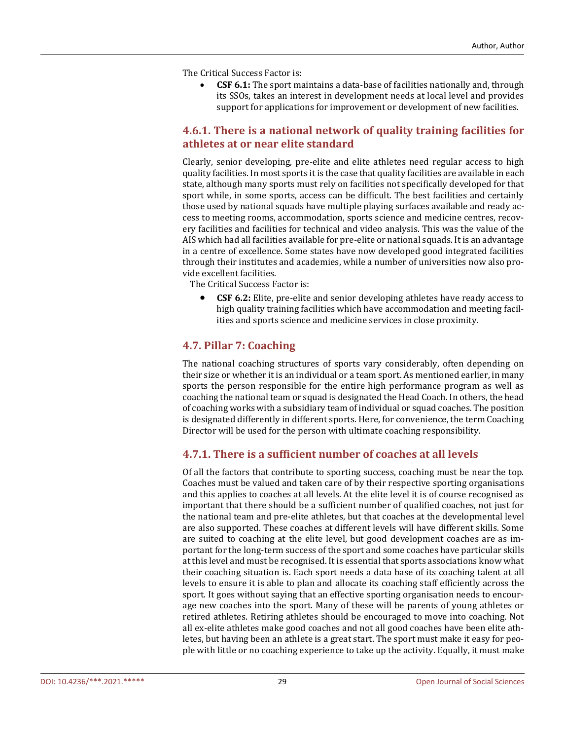The Critical Success Factor is:

• **CSF 6.1:** The sport maintains a data-base of facilities nationally and, through its SSOs, takes an interest in development needs at local level and provides support for applications for improvement or development of new facilities.

## **4.6.1. There is a national network of quality training facilities for athletes at or near elite standard**

Clearly, senior developing, pre-elite and elite athletes need regular access to high quality facilities. In most sports it is the case that quality facilities are available in each state, although many sports must rely on facilities not specifically developed for that sport while, in some sports, access can be difficult. The best facilities and certainly those used by national squads have multiple playing surfaces available and ready access to meeting rooms, accommodation, sports science and medicine centres, recovery facilities and facilities for technical and video analysis. This was the value of the AIS which had all facilities available for pre-elite or national squads. It is an advantage in a centre of excellence. Some states have now developed good integrated facilities through their institutes and academies, while a number of universities now also provide excellent facilities.

The Critical Success Factor is:

• **CSF 6.2:** Elite, pre-elite and senior developing athletes have ready access to high quality training facilities which have accommodation and meeting facilities and sports science and medicine services in close proximity.

## **4.7. Pillar 7: Coaching**

The national coaching structures of sports vary considerably, often depending on their size or whether it is an individual or a team sport. As mentioned earlier, in many sports the person responsible for the entire high performance program as well as coaching the national team or squad is designated the Head Coach. In others, the head of coaching works with a subsidiary team of individual or squad coaches. The position is designated differently in different sports. Here, for convenience, the term Coaching Director will be used for the person with ultimate coaching responsibility.

## **4.7.1. There is a sufficient number of coaches at all levels**

Of all the factors that contribute to sporting success, coaching must be near the top. Coaches must be valued and taken care of by their respective sporting organisations and this applies to coaches at all levels. At the elite level it is of course recognised as important that there should be a sufficient number of qualified coaches, not just for the national team and pre-elite athletes, but that coaches at the developmental level are also supported. These coaches at different levels will have different skills. Some are suited to coaching at the elite level, but good development coaches are as important for the long-term success of the sport and some coaches have particular skills at this level and must be recognised. It is essential that sports associations know what their coaching situation is. Each sport needs a data base of its coaching talent at all levels to ensure it is able to plan and allocate its coaching staff efficiently across the sport. It goes without saying that an effective sporting organisation needs to encourage new coaches into the sport. Many of these will be parents of young athletes or retired athletes. Retiring athletes should be encouraged to move into coaching. Not all ex-elite athletes make good coaches and not all good coaches have been elite athletes, but having been an athlete is a great start. The sport must make it easy for people with little or no coaching experience to take up the activity. Equally, it must make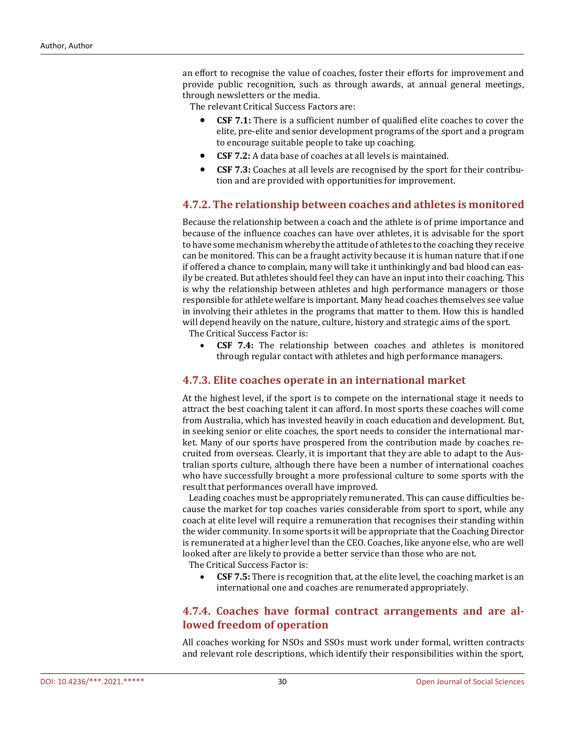an effort to recognise the value of coaches, foster their efforts for improvement and provide public recognition, such as through awards, at annual general meetings, through newsletters or the media.

The relevant Critical Success Factors are:

- **CSF 7.1:** There is a sufficient number of qualified elite coaches to cover the elite, pre-elite and senior development programs of the sport and a program to encourage suitable people to take up coaching.
- **CSF 7.2:** A data base of coaches at all levels is maintained.
- **CSF 7.3:** Coaches at all levels are recognised by the sport for their contribution and are provided with opportunities for improvement.

#### **4.7.2. The relationship between coaches and athletes is monitored**

Because the relationship between a coach and the athlete is of prime importance and because of the influence coaches can have over athletes, it is advisable for the sport to have some mechanism whereby the attitude of athletes to the coaching they receive can be monitored. This can be a fraught activity because it is human nature that if one if offered a chance to complain, many will take it unthinkingly and bad blood can easily be created. But athletes should feel they can have an input into their coaching. This is why the relationship between athletes and high performance managers or those responsible for athlete welfare is important. Many head coaches themselves see value in involving their athletes in the programs that matter to them. How this is handled will depend heavily on the nature, culture, history and strategic aims of the sport.

The Critical Success Factor is:

• **CSF 7.4:** The relationship between coaches and athletes is monitored through regular contact with athletes and high performance managers.

#### **4.7.3. Elite coaches operate in an international market**

At the highest level, if the sport is to compete on the international stage it needs to attract the best coaching talent it can afford. In most sports these coaches will come from Australia, which has invested heavily in coach education and development. But, in seeking senior or elite coaches, the sport needs to consider the international market. Many of our sports have prospered from the contribution made by coaches recruited from overseas. Clearly, it is important that they are able to adapt to the Australian sports culture, although there have been a number of international coaches who have successfully brought a more professional culture to some sports with the result that performances overall have improved.

 Leading coaches must be appropriately remunerated. This can cause difficulties because the market for top coaches varies considerable from sport to sport, while any coach at elite level will require a remuneration that recognises their standing within the wider community. In some sports it will be appropriate that the Coaching Director is remunerated at a higher level than the CEO. Coaches, like anyone else, who are well looked after are likely to provide a better service than those who are not.

The Critical Success Factor is:

• **CSF 7.5:** There is recognition that, at the elite level, the coaching market is an international one and coaches are renumerated appropriately.

#### **4.7.4. Coaches have formal contract arrangements and are allowed freedom of operation**

All coaches working for NSOs and SSOs must work under formal, written contracts and relevant role descriptions, which identify their responsibilities within the sport,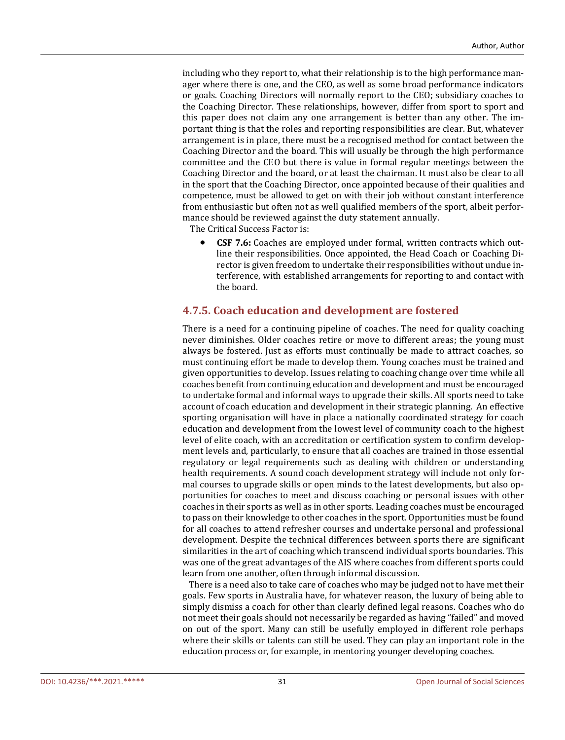including who they report to, what their relationship is to the high performance manager where there is one, and the CEO, as well as some broad performance indicators or goals. Coaching Directors will normally report to the CEO; subsidiary coaches to the Coaching Director. These relationships, however, differ from sport to sport and this paper does not claim any one arrangement is better than any other. The important thing is that the roles and reporting responsibilities are clear. But, whatever arrangement is in place, there must be a recognised method for contact between the Coaching Director and the board. This will usually be through the high performance committee and the CEO but there is value in formal regular meetings between the Coaching Director and the board, or at least the chairman. It must also be clear to all in the sport that the Coaching Director, once appointed because of their qualities and competence, must be allowed to get on with their job without constant interference from enthusiastic but often not as well qualified members of the sport, albeit performance should be reviewed against the duty statement annually.

The Critical Success Factor is:

• **CSF 7.6:** Coaches are employed under formal, written contracts which outline their responsibilities. Once appointed, the Head Coach or Coaching Director is given freedom to undertake their responsibilities without undue interference, with established arrangements for reporting to and contact with the board.

#### **4.7.5. Coach education and development are fostered**

There is a need for a continuing pipeline of coaches. The need for quality coaching never diminishes. Older coaches retire or move to different areas; the young must always be fostered. Just as efforts must continually be made to attract coaches, so must continuing effort be made to develop them. Young coaches must be trained and given opportunities to develop. Issues relating to coaching change over time while all coaches benefit from continuing education and development and must be encouraged to undertake formal and informal ways to upgrade their skills. All sports need to take account of coach education and development in their strategic planning. An effective sporting organisation will have in place a nationally coordinated strategy for coach education and development from the lowest level of community coach to the highest level of elite coach, with an accreditation or certification system to confirm development levels and, particularly, to ensure that all coaches are trained in those essential regulatory or legal requirements such as dealing with children or understanding health requirements. A sound coach development strategy will include not only formal courses to upgrade skills or open minds to the latest developments, but also opportunities for coaches to meet and discuss coaching or personal issues with other coaches in their sports as well as in other sports. Leading coaches must be encouraged to pass on their knowledge to other coaches in the sport. Opportunities must be found for all coaches to attend refresher courses and undertake personal and professional development. Despite the technical differences between sports there are significant similarities in the art of coaching which transcend individual sports boundaries. This was one of the great advantages of the AIS where coaches from different sports could learn from one another, often through informal discussion.

 There is a need also to take care of coaches who may be judged not to have met their goals. Few sports in Australia have, for whatever reason, the luxury of being able to simply dismiss a coach for other than clearly defined legal reasons. Coaches who do not meet their goals should not necessarily be regarded as having "failed" and moved on out of the sport. Many can still be usefully employed in different role perhaps where their skills or talents can still be used. They can play an important role in the education process or, for example, in mentoring younger developing coaches.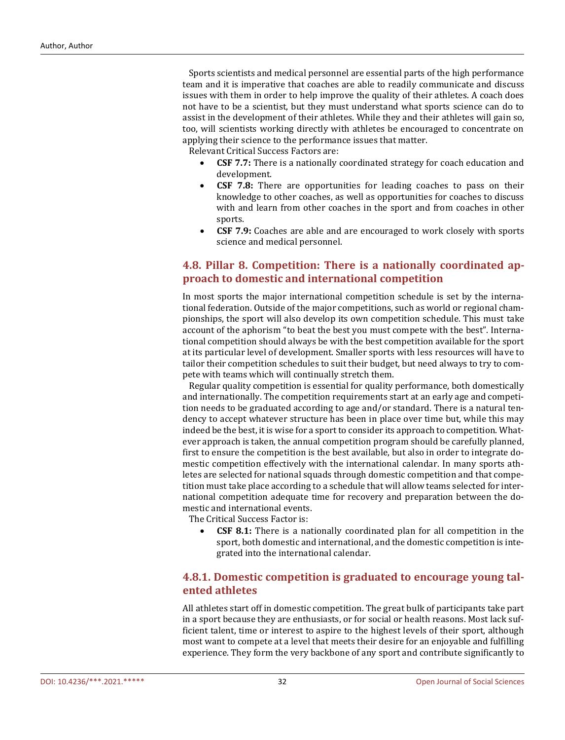Sports scientists and medical personnel are essential parts of the high performance team and it is imperative that coaches are able to readily communicate and discuss issues with them in order to help improve the quality of their athletes. A coach does not have to be a scientist, but they must understand what sports science can do to assist in the development of their athletes. While they and their athletes will gain so, too, will scientists working directly with athletes be encouraged to concentrate on applying their science to the performance issues that matter.

Relevant Critical Success Factors are:

- **CSF 7.7:** There is a nationally coordinated strategy for coach education and development.
- **CSF 7.8:** There are opportunities for leading coaches to pass on their knowledge to other coaches, as well as opportunities for coaches to discuss with and learn from other coaches in the sport and from coaches in other sports.
- **CSF 7.9:** Coaches are able and are encouraged to work closely with sports science and medical personnel.

## **4.8. Pillar 8. Competition: There is a nationally coordinated approach to domestic and international competition**

In most sports the major international competition schedule is set by the international federation. Outside of the major competitions, such as world or regional championships, the sport will also develop its own competition schedule. This must take account of the aphorism "to beat the best you must compete with the best". International competition should always be with the best competition available for the sport at its particular level of development. Smaller sports with less resources will have to tailor their competition schedules to suit their budget, but need always to try to compete with teams which will continually stretch them.

 Regular quality competition is essential for quality performance, both domestically and internationally. The competition requirements start at an early age and competition needs to be graduated according to age and/or standard. There is a natural tendency to accept whatever structure has been in place over time but, while this may indeed be the best, it is wise for a sport to consider its approach to competition. Whatever approach is taken, the annual competition program should be carefully planned, first to ensure the competition is the best available, but also in order to integrate domestic competition effectively with the international calendar. In many sports athletes are selected for national squads through domestic competition and that competition must take place according to a schedule that will allow teams selected for international competition adequate time for recovery and preparation between the domestic and international events.

The Critical Success Factor is:

**CSF 8.1:** There is a nationally coordinated plan for all competition in the sport, both domestic and international, and the domestic competition is integrated into the international calendar.

## **4.8.1. Domestic competition is graduated to encourage young talented athletes**

All athletes start off in domestic competition. The great bulk of participants take part in a sport because they are enthusiasts, or for social or health reasons. Most lack sufficient talent, time or interest to aspire to the highest levels of their sport, although most want to compete at a level that meets their desire for an enjoyable and fulfilling experience. They form the very backbone of any sport and contribute significantly to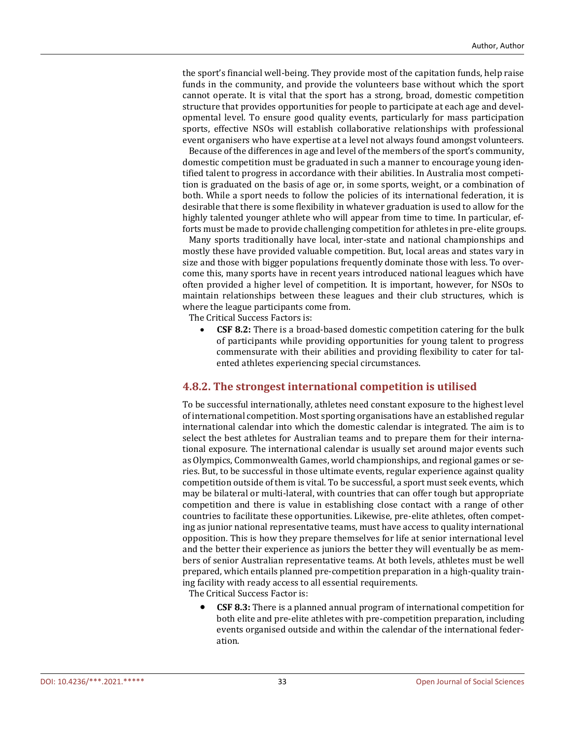the sport's financial well-being. They provide most of the capitation funds, help raise funds in the community, and provide the volunteers base without which the sport cannot operate. It is vital that the sport has a strong, broad, domestic competition structure that provides opportunities for people to participate at each age and developmental level. To ensure good quality events, particularly for mass participation sports, effective NSOs will establish collaborative relationships with professional event organisers who have expertise at a level not always found amongst volunteers.

 Because of the differences in age and level of the members of the sport's community, domestic competition must be graduated in such a manner to encourage young identified talent to progress in accordance with their abilities. In Australia most competition is graduated on the basis of age or, in some sports, weight, or a combination of both. While a sport needs to follow the policies of its international federation, it is desirable that there is some flexibility in whatever graduation is used to allow for the highly talented younger athlete who will appear from time to time. In particular, efforts must be made to provide challenging competition for athletes in pre-elite groups.

 Many sports traditionally have local, inter-state and national championships and mostly these have provided valuable competition. But, local areas and states vary in size and those with bigger populations frequently dominate those with less. To overcome this, many sports have in recent years introduced national leagues which have often provided a higher level of competition. It is important, however, for NSOs to maintain relationships between these leagues and their club structures, which is where the league participants come from.

The Critical Success Factors is:

• **CSF 8.2:** There is a broad-based domestic competition catering for the bulk of participants while providing opportunities for young talent to progress commensurate with their abilities and providing flexibility to cater for talented athletes experiencing special circumstances.

#### **4.8.2. The strongest international competition is utilised**

To be successful internationally, athletes need constant exposure to the highest level of international competition. Most sporting organisations have an established regular international calendar into which the domestic calendar is integrated. The aim is to select the best athletes for Australian teams and to prepare them for their international exposure. The international calendar is usually set around major events such as Olympics, Commonwealth Games, world championships, and regional games or series. But, to be successful in those ultimate events, regular experience against quality competition outside of them is vital. To be successful, a sport must seek events, which may be bilateral or multi-lateral, with countries that can offer tough but appropriate competition and there is value in establishing close contact with a range of other countries to facilitate these opportunities. Likewise, pre-elite athletes, often competing as junior national representative teams, must have access to quality international opposition. This is how they prepare themselves for life at senior international level and the better their experience as juniors the better they will eventually be as members of senior Australian representative teams. At both levels, athletes must be well prepared, which entails planned pre-competition preparation in a high-quality training facility with ready access to all essential requirements. The Critical Success Factor is:

• **CSF 8.3:** There is a planned annual program of international competition for both elite and pre-elite athletes with pre-competition preparation, including events organised outside and within the calendar of the international federation.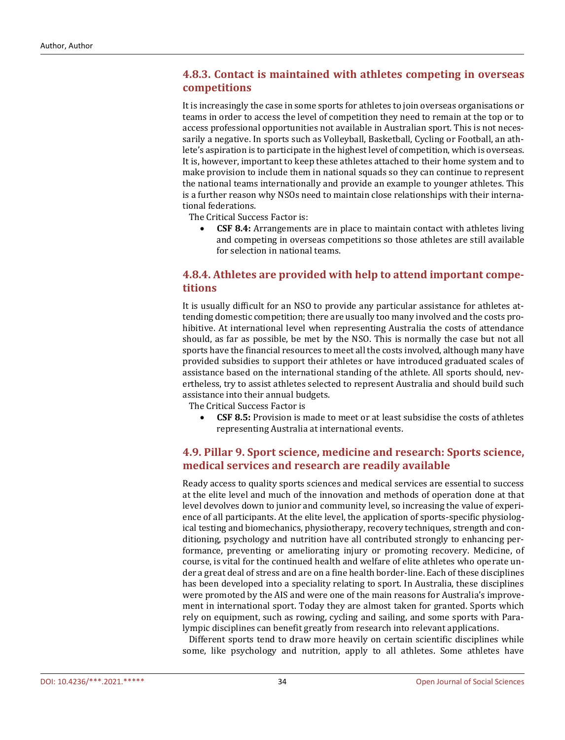## **4.8.3. Contact is maintained with athletes competing in overseas competitions**

It is increasingly the case in some sports for athletes to join overseas organisations or teams in order to access the level of competition they need to remain at the top or to access professional opportunities not available in Australian sport. This is not necessarily a negative. In sports such as Volleyball, Basketball, Cycling or Football, an athlete's aspiration is to participate in the highest level of competition, which is overseas. It is, however, important to keep these athletes attached to their home system and to make provision to include them in national squads so they can continue to represent the national teams internationally and provide an example to younger athletes. This is a further reason why NSOs need to maintain close relationships with their international federations.

The Critical Success Factor is:

• **CSF 8.4:** Arrangements are in place to maintain contact with athletes living and competing in overseas competitions so those athletes are still available for selection in national teams.

## **4.8.4. Athletes are provided with help to attend important competitions**

It is usually difficult for an NSO to provide any particular assistance for athletes attending domestic competition; there are usually too many involved and the costs prohibitive. At international level when representing Australia the costs of attendance should, as far as possible, be met by the NSO. This is normally the case but not all sports have the financial resources to meet all the costs involved, although many have provided subsidies to support their athletes or have introduced graduated scales of assistance based on the international standing of the athlete. All sports should, nevertheless, try to assist athletes selected to represent Australia and should build such assistance into their annual budgets.

The Critical Success Factor is

• **CSF 8.5:** Provision is made to meet or at least subsidise the costs of athletes representing Australia at international events.

## **4.9. Pillar 9. Sport science, medicine and research: Sports science, medical services and research are readily available**

Ready access to quality sports sciences and medical services are essential to success at the elite level and much of the innovation and methods of operation done at that level devolves down to junior and community level, so increasing the value of experience of all participants. At the elite level, the application of sports-specific physiological testing and biomechanics, physiotherapy, recovery techniques, strength and conditioning, psychology and nutrition have all contributed strongly to enhancing performance, preventing or ameliorating injury or promoting recovery. Medicine, of course, is vital for the continued health and welfare of elite athletes who operate under a great deal of stress and are on a fine health border-line. Each of these disciplines has been developed into a speciality relating to sport. In Australia, these disciplines were promoted by the AIS and were one of the main reasons for Australia's improvement in international sport. Today they are almost taken for granted. Sports which rely on equipment, such as rowing, cycling and sailing, and some sports with Paralympic disciplines can benefit greatly from research into relevant applications.

 Different sports tend to draw more heavily on certain scientific disciplines while some, like psychology and nutrition, apply to all athletes. Some athletes have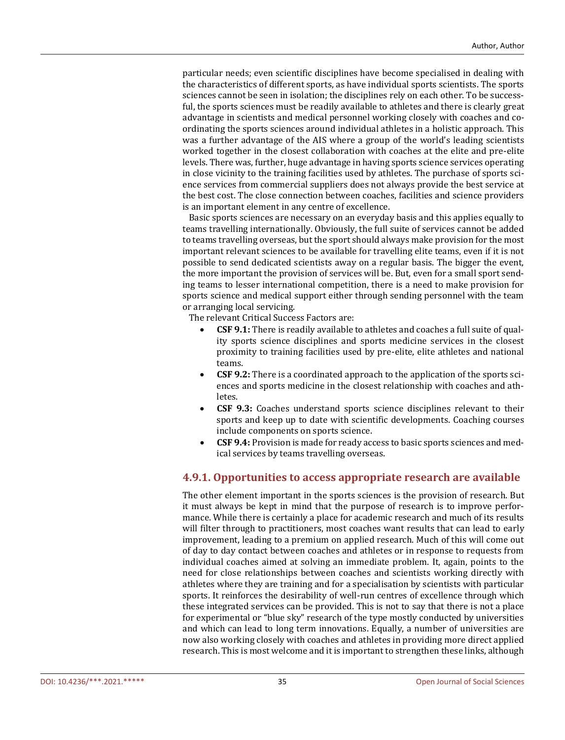particular needs; even scientific disciplines have become specialised in dealing with the characteristics of different sports, as have individual sports scientists. The sports sciences cannot be seen in isolation; the disciplines rely on each other. To be successful, the sports sciences must be readily available to athletes and there is clearly great advantage in scientists and medical personnel working closely with coaches and coordinating the sports sciences around individual athletes in a holistic approach. This was a further advantage of the AIS where a group of the world's leading scientists worked together in the closest collaboration with coaches at the elite and pre-elite levels. There was, further, huge advantage in having sports science services operating in close vicinity to the training facilities used by athletes. The purchase of sports science services from commercial suppliers does not always provide the best service at the best cost. The close connection between coaches, facilities and science providers is an important element in any centre of excellence.

 Basic sports sciences are necessary on an everyday basis and this applies equally to teams travelling internationally. Obviously, the full suite of services cannot be added to teams travelling overseas, but the sport should always make provision for the most important relevant sciences to be available for travelling elite teams, even if it is not possible to send dedicated scientists away on a regular basis. The bigger the event, the more important the provision of services will be. But, even for a small sport sending teams to lesser international competition, there is a need to make provision for sports science and medical support either through sending personnel with the team or arranging local servicing.

The relevant Critical Success Factors are:

- **CSF 9.1:** There is readily available to athletes and coaches a full suite of quality sports science disciplines and sports medicine services in the closest proximity to training facilities used by pre-elite, elite athletes and national teams.
- **CSF 9.2:** There is a coordinated approach to the application of the sports sciences and sports medicine in the closest relationship with coaches and athletes.
- **CSF 9.3:** Coaches understand sports science disciplines relevant to their sports and keep up to date with scientific developments. Coaching courses include components on sports science.
- **CSF 9.4:** Provision is made for ready access to basic sports sciences and medical services by teams travelling overseas.

## **4.9.1. Opportunities to access appropriate research are available**

The other element important in the sports sciences is the provision of research. But it must always be kept in mind that the purpose of research is to improve performance. While there is certainly a place for academic research and much of its results will filter through to practitioners, most coaches want results that can lead to early improvement, leading to a premium on applied research. Much of this will come out of day to day contact between coaches and athletes or in response to requests from individual coaches aimed at solving an immediate problem. It, again, points to the need for close relationships between coaches and scientists working directly with athletes where they are training and for a specialisation by scientists with particular sports. It reinforces the desirability of well-run centres of excellence through which these integrated services can be provided. This is not to say that there is not a place for experimental or "blue sky" research of the type mostly conducted by universities and which can lead to long term innovations. Equally, a number of universities are now also working closely with coaches and athletes in providing more direct applied research. This is most welcome and it is important to strengthen these links, although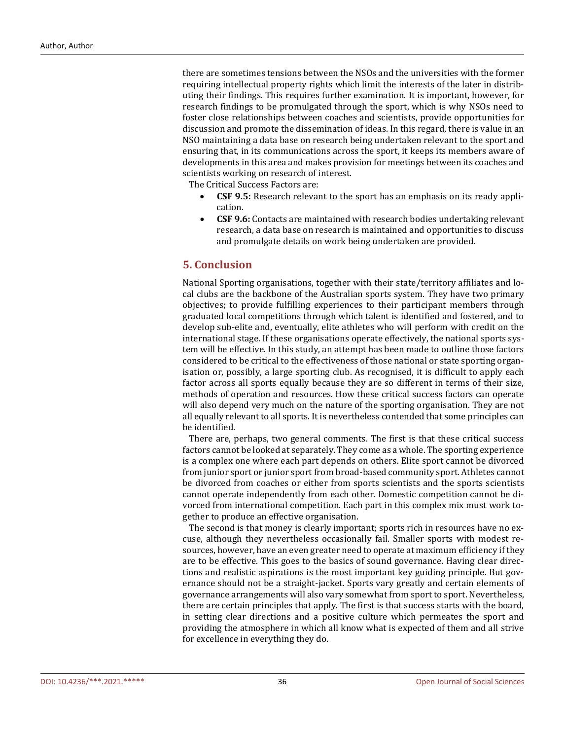there are sometimes tensions between the NSOs and the universities with the former requiring intellectual property rights which limit the interests of the later in distributing their findings. This requires further examination. It is important, however, for research findings to be promulgated through the sport, which is why NSOs need to foster close relationships between coaches and scientists, provide opportunities for discussion and promote the dissemination of ideas. In this regard, there is value in an NSO maintaining a data base on research being undertaken relevant to the sport and ensuring that, in its communications across the sport, it keeps its members aware of developments in this area and makes provision for meetings between its coaches and scientists working on research of interest.

The Critical Success Factors are:

- **CSF 9.5:** Research relevant to the sport has an emphasis on its ready application.
- **CSF 9.6:** Contacts are maintained with research bodies undertaking relevant research, a data base on research is maintained and opportunities to discuss and promulgate details on work being undertaken are provided.

## **5. Conclusion**

National Sporting organisations, together with their state/territory affiliates and local clubs are the backbone of the Australian sports system. They have two primary objectives; to provide fulfilling experiences to their participant members through graduated local competitions through which talent is identified and fostered, and to develop sub-elite and, eventually, elite athletes who will perform with credit on the international stage. If these organisations operate effectively, the national sports system will be effective. In this study, an attempt has been made to outline those factors considered to be critical to the effectiveness of those national or state sporting organisation or, possibly, a large sporting club. As recognised, it is difficult to apply each factor across all sports equally because they are so different in terms of their size, methods of operation and resources. How these critical success factors can operate will also depend very much on the nature of the sporting organisation. They are not all equally relevant to all sports. It is nevertheless contended that some principles can be identified.

 There are, perhaps, two general comments. The first is that these critical success factors cannot be looked at separately. They come as a whole. The sporting experience is a complex one where each part depends on others. Elite sport cannot be divorced from junior sport or junior sport from broad-based community sport. Athletes cannot be divorced from coaches or either from sports scientists and the sports scientists cannot operate independently from each other. Domestic competition cannot be divorced from international competition. Each part in this complex mix must work together to produce an effective organisation.

 The second is that money is clearly important; sports rich in resources have no excuse, although they nevertheless occasionally fail. Smaller sports with modest resources, however, have an even greater need to operate at maximum efficiency if they are to be effective. This goes to the basics of sound governance. Having clear directions and realistic aspirations is the most important key guiding principle. But governance should not be a straight-jacket. Sports vary greatly and certain elements of governance arrangements will also vary somewhat from sport to sport. Nevertheless, there are certain principles that apply. The first is that success starts with the board, in setting clear directions and a positive culture which permeates the sport and providing the atmosphere in which all know what is expected of them and all strive for excellence in everything they do.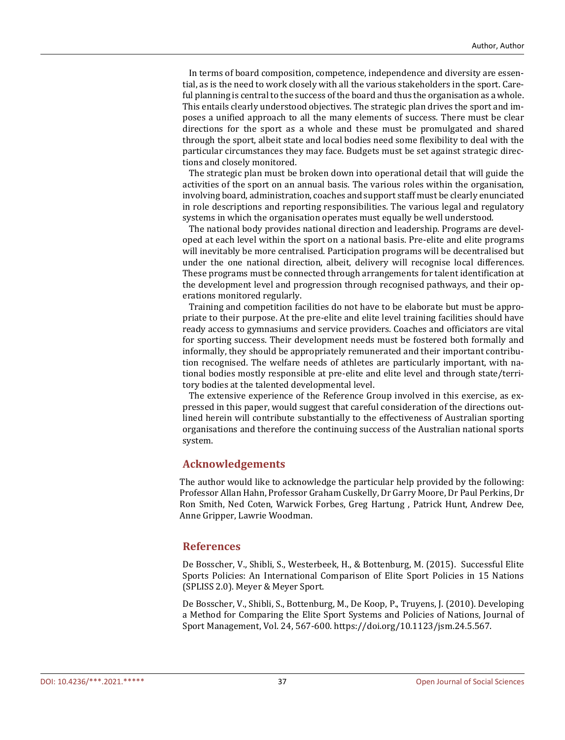In terms of board composition, competence, independence and diversity are essential, as is the need to work closely with all the various stakeholders in the sport. Careful planning is central to the success of the board and thus the organisation as a whole. This entails clearly understood objectives. The strategic plan drives the sport and imposes a unified approach to all the many elements of success. There must be clear directions for the sport as a whole and these must be promulgated and shared through the sport, albeit state and local bodies need some flexibility to deal with the particular circumstances they may face. Budgets must be set against strategic directions and closely monitored.

 The strategic plan must be broken down into operational detail that will guide the activities of the sport on an annual basis. The various roles within the organisation, involving board, administration, coaches and support staff must be clearly enunciated in role descriptions and reporting responsibilities. The various legal and regulatory systems in which the organisation operates must equally be well understood.

 The national body provides national direction and leadership. Programs are developed at each level within the sport on a national basis. Pre-elite and elite programs will inevitably be more centralised. Participation programs will be decentralised but under the one national direction, albeit, delivery will recognise local differences. These programs must be connected through arrangements for talent identification at the development level and progression through recognised pathways, and their operations monitored regularly.

 Training and competition facilities do not have to be elaborate but must be appropriate to their purpose. At the pre-elite and elite level training facilities should have ready access to gymnasiums and service providers. Coaches and officiators are vital for sporting success. Their development needs must be fostered both formally and informally, they should be appropriately remunerated and their important contribution recognised. The welfare needs of athletes are particularly important, with national bodies mostly responsible at pre-elite and elite level and through state/territory bodies at the talented developmental level.

 The extensive experience of the Reference Group involved in this exercise, as expressed in this paper, would suggest that careful consideration of the directions outlined herein will contribute substantially to the effectiveness of Australian sporting organisations and therefore the continuing success of the Australian national sports system.

#### **Acknowledgements**

The author would like to acknowledge the particular help provided by the following: Professor Allan Hahn, Professor Graham Cuskelly, Dr Garry Moore, Dr Paul Perkins, Dr Ron Smith, Ned Coten, Warwick Forbes, Greg Hartung , Patrick Hunt, Andrew Dee, Anne Gripper, Lawrie Woodman.

#### **References**

De Bosscher, V., Shibli, S., Westerbeek, H., & Bottenburg, M. (2015). Successful Elite Sports Policies: An International Comparison of Elite Sport Policies in 15 Nations (SPLISS 2.0). Meyer & Meyer Sport.

De Bosscher, V., Shibli, S., Bottenburg, M., De Koop, P., Truyens, J. (2010). Developing a Method for Comparing the Elite Sport Systems and Policies of Nations, Journal of Sport Management, Vol. 24, 567-600. https://doi.org/10.1123/jsm.24.5.567.